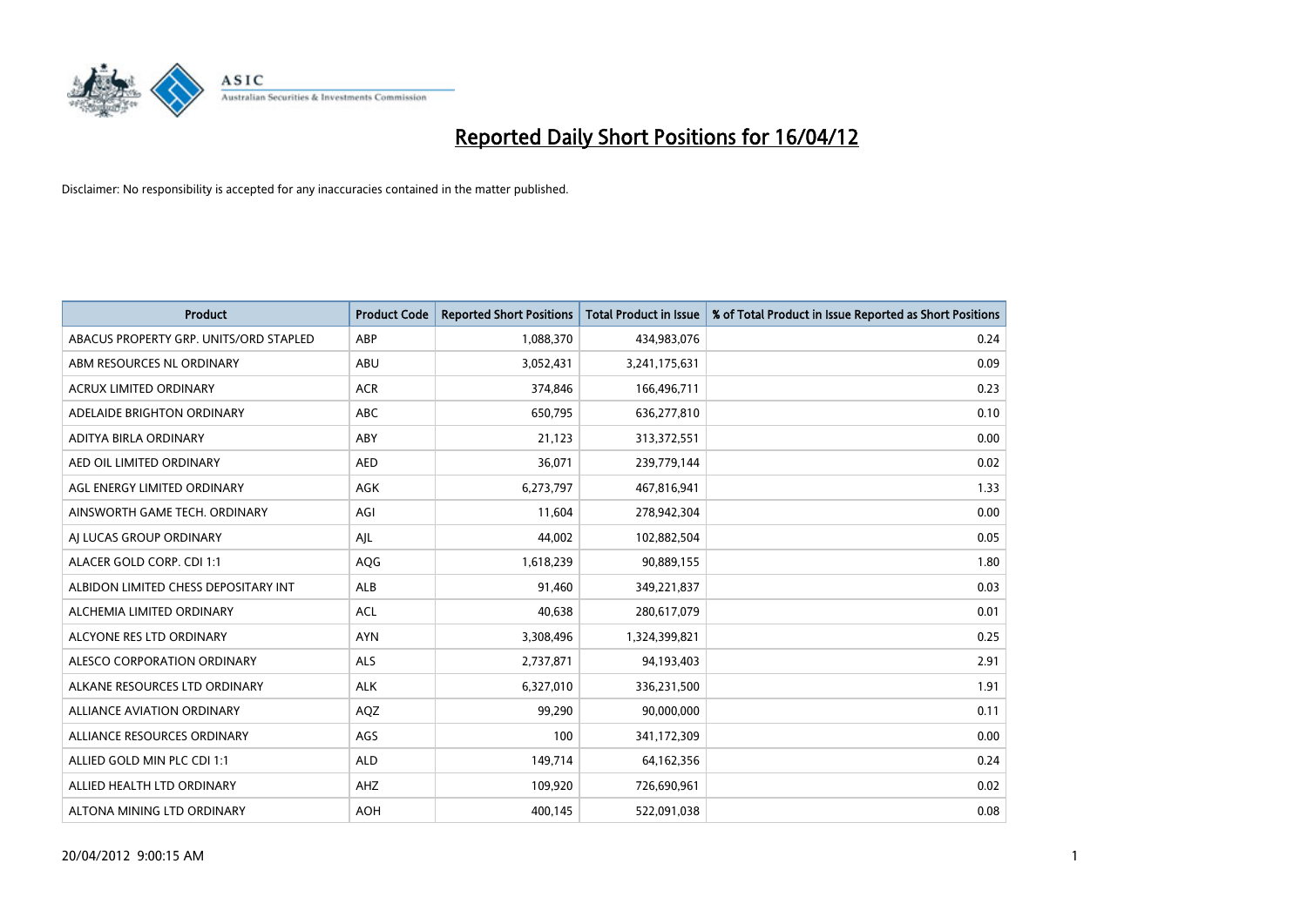

| <b>Product</b>                         | <b>Product Code</b> | <b>Reported Short Positions</b> | <b>Total Product in Issue</b> | % of Total Product in Issue Reported as Short Positions |
|----------------------------------------|---------------------|---------------------------------|-------------------------------|---------------------------------------------------------|
| ABACUS PROPERTY GRP. UNITS/ORD STAPLED | ABP                 | 1,088,370                       | 434,983,076                   | 0.24                                                    |
| ABM RESOURCES NL ORDINARY              | ABU                 | 3,052,431                       | 3,241,175,631                 | 0.09                                                    |
| <b>ACRUX LIMITED ORDINARY</b>          | <b>ACR</b>          | 374,846                         | 166,496,711                   | 0.23                                                    |
| ADELAIDE BRIGHTON ORDINARY             | <b>ABC</b>          | 650,795                         | 636,277,810                   | 0.10                                                    |
| ADITYA BIRLA ORDINARY                  | ABY                 | 21,123                          | 313,372,551                   | 0.00                                                    |
| AED OIL LIMITED ORDINARY               | <b>AED</b>          | 36,071                          | 239,779,144                   | 0.02                                                    |
| AGL ENERGY LIMITED ORDINARY            | AGK                 | 6,273,797                       | 467,816,941                   | 1.33                                                    |
| AINSWORTH GAME TECH. ORDINARY          | AGI                 | 11,604                          | 278,942,304                   | 0.00                                                    |
| AI LUCAS GROUP ORDINARY                | AJL                 | 44,002                          | 102,882,504                   | 0.05                                                    |
| ALACER GOLD CORP. CDI 1:1              | AQG                 | 1,618,239                       | 90,889,155                    | 1.80                                                    |
| ALBIDON LIMITED CHESS DEPOSITARY INT   | ALB                 | 91,460                          | 349,221,837                   | 0.03                                                    |
| ALCHEMIA LIMITED ORDINARY              | <b>ACL</b>          | 40,638                          | 280,617,079                   | 0.01                                                    |
| ALCYONE RES LTD ORDINARY               | <b>AYN</b>          | 3,308,496                       | 1,324,399,821                 | 0.25                                                    |
| ALESCO CORPORATION ORDINARY            | ALS                 | 2,737,871                       | 94,193,403                    | 2.91                                                    |
| ALKANE RESOURCES LTD ORDINARY          | <b>ALK</b>          | 6,327,010                       | 336,231,500                   | 1.91                                                    |
| ALLIANCE AVIATION ORDINARY             | AQZ                 | 99,290                          | 90,000,000                    | 0.11                                                    |
| ALLIANCE RESOURCES ORDINARY            | AGS                 | 100                             | 341,172,309                   | 0.00                                                    |
| ALLIED GOLD MIN PLC CDI 1:1            | <b>ALD</b>          | 149,714                         | 64,162,356                    | 0.24                                                    |
| ALLIED HEALTH LTD ORDINARY             | AHZ                 | 109,920                         | 726,690,961                   | 0.02                                                    |
| ALTONA MINING LTD ORDINARY             | <b>AOH</b>          | 400,145                         | 522,091,038                   | 0.08                                                    |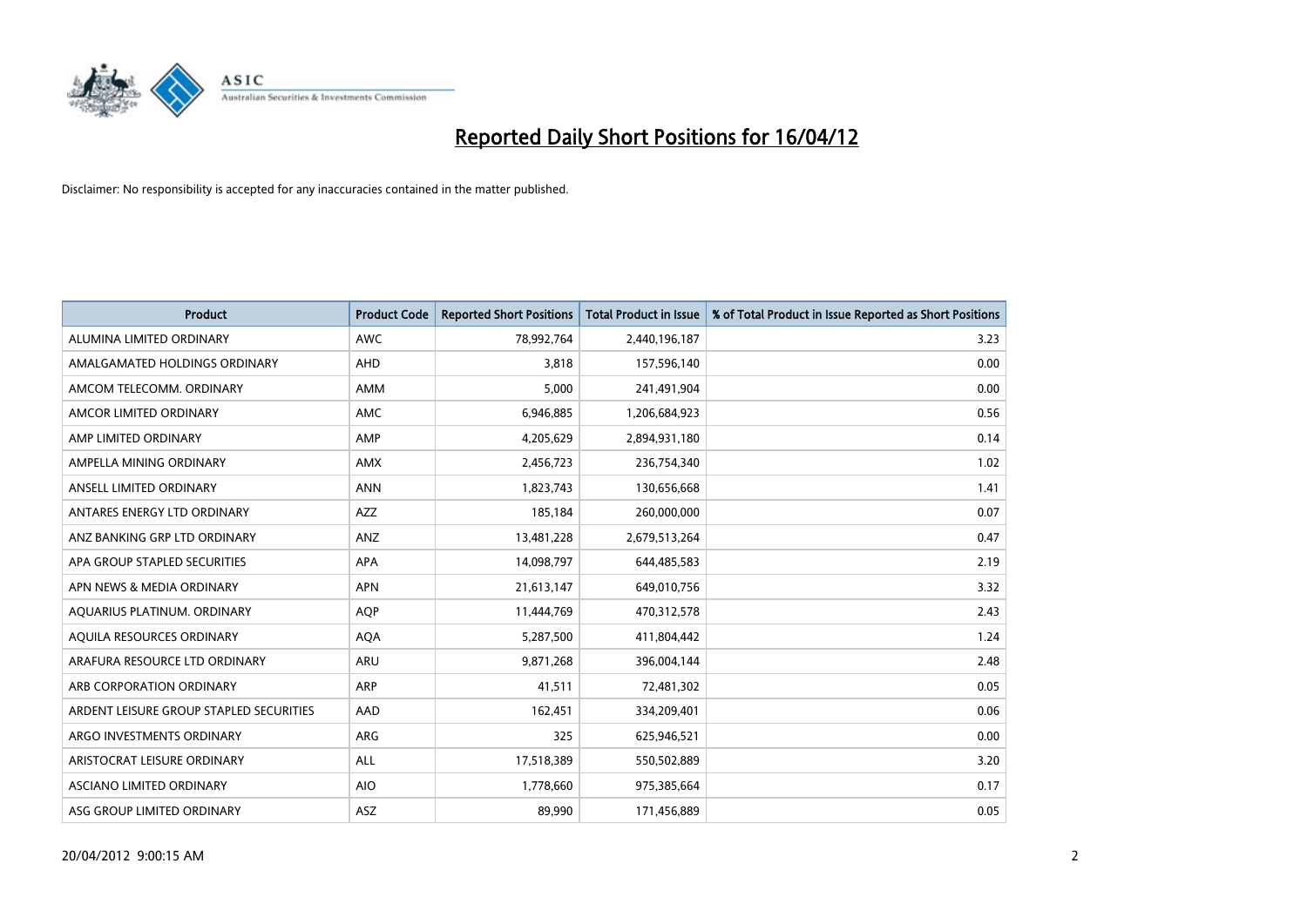

| <b>Product</b>                          | <b>Product Code</b> | <b>Reported Short Positions</b> | <b>Total Product in Issue</b> | % of Total Product in Issue Reported as Short Positions |
|-----------------------------------------|---------------------|---------------------------------|-------------------------------|---------------------------------------------------------|
| ALUMINA LIMITED ORDINARY                | <b>AWC</b>          | 78,992,764                      | 2,440,196,187                 | 3.23                                                    |
| AMALGAMATED HOLDINGS ORDINARY           | <b>AHD</b>          | 3,818                           | 157,596,140                   | 0.00                                                    |
| AMCOM TELECOMM. ORDINARY                | AMM                 | 5,000                           | 241,491,904                   | 0.00                                                    |
| AMCOR LIMITED ORDINARY                  | AMC                 | 6,946,885                       | 1,206,684,923                 | 0.56                                                    |
| AMP LIMITED ORDINARY                    | AMP                 | 4,205,629                       | 2,894,931,180                 | 0.14                                                    |
| AMPELLA MINING ORDINARY                 | AMX                 | 2,456,723                       | 236,754,340                   | 1.02                                                    |
| ANSELL LIMITED ORDINARY                 | <b>ANN</b>          | 1,823,743                       | 130,656,668                   | 1.41                                                    |
| ANTARES ENERGY LTD ORDINARY             | AZZ                 | 185,184                         | 260,000,000                   | 0.07                                                    |
| ANZ BANKING GRP LTD ORDINARY            | ANZ                 | 13,481,228                      | 2,679,513,264                 | 0.47                                                    |
| APA GROUP STAPLED SECURITIES            | <b>APA</b>          | 14,098,797                      | 644,485,583                   | 2.19                                                    |
| APN NEWS & MEDIA ORDINARY               | <b>APN</b>          | 21,613,147                      | 649,010,756                   | 3.32                                                    |
| AQUARIUS PLATINUM. ORDINARY             | <b>AOP</b>          | 11,444,769                      | 470,312,578                   | 2.43                                                    |
| AQUILA RESOURCES ORDINARY               | <b>AQA</b>          | 5,287,500                       | 411,804,442                   | 1.24                                                    |
| ARAFURA RESOURCE LTD ORDINARY           | ARU                 | 9,871,268                       | 396,004,144                   | 2.48                                                    |
| ARB CORPORATION ORDINARY                | ARP                 | 41,511                          | 72,481,302                    | 0.05                                                    |
| ARDENT LEISURE GROUP STAPLED SECURITIES | AAD                 | 162,451                         | 334,209,401                   | 0.06                                                    |
| ARGO INVESTMENTS ORDINARY               | ARG                 | 325                             | 625,946,521                   | 0.00                                                    |
| ARISTOCRAT LEISURE ORDINARY             | ALL                 | 17,518,389                      | 550,502,889                   | 3.20                                                    |
| ASCIANO LIMITED ORDINARY                | <b>AIO</b>          | 1,778,660                       | 975,385,664                   | 0.17                                                    |
| ASG GROUP LIMITED ORDINARY              | ASZ                 | 89,990                          | 171,456,889                   | 0.05                                                    |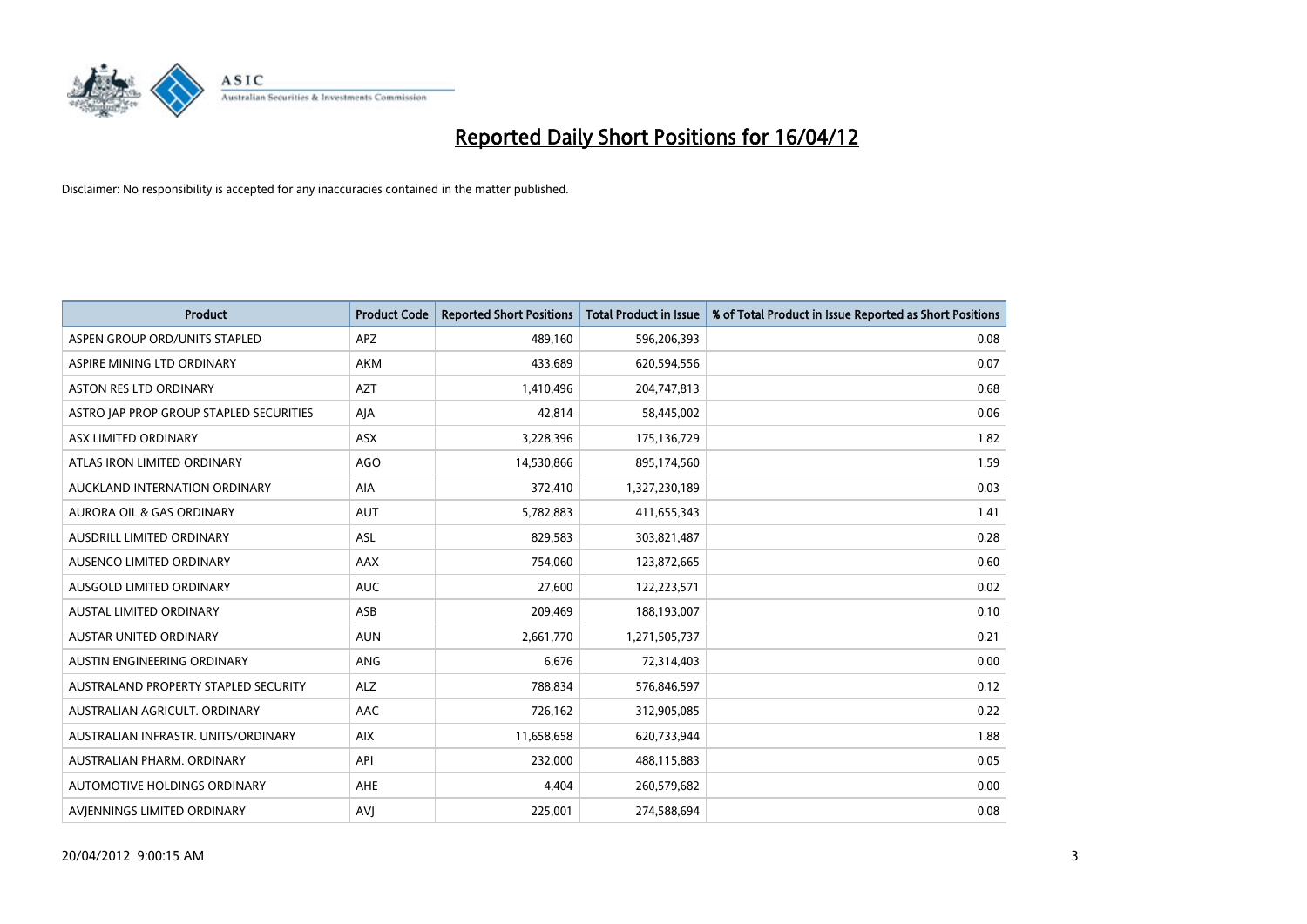

| <b>Product</b>                          | <b>Product Code</b> | <b>Reported Short Positions</b> | <b>Total Product in Issue</b> | % of Total Product in Issue Reported as Short Positions |
|-----------------------------------------|---------------------|---------------------------------|-------------------------------|---------------------------------------------------------|
| ASPEN GROUP ORD/UNITS STAPLED           | <b>APZ</b>          | 489,160                         | 596,206,393                   | 0.08                                                    |
| ASPIRE MINING LTD ORDINARY              | <b>AKM</b>          | 433,689                         | 620,594,556                   | 0.07                                                    |
| <b>ASTON RES LTD ORDINARY</b>           | <b>AZT</b>          | 1,410,496                       | 204,747,813                   | 0.68                                                    |
| ASTRO JAP PROP GROUP STAPLED SECURITIES | AJA                 | 42,814                          | 58,445,002                    | 0.06                                                    |
| ASX LIMITED ORDINARY                    | ASX                 | 3,228,396                       | 175,136,729                   | 1.82                                                    |
| ATLAS IRON LIMITED ORDINARY             | <b>AGO</b>          | 14,530,866                      | 895,174,560                   | 1.59                                                    |
| AUCKLAND INTERNATION ORDINARY           | AIA                 | 372,410                         | 1,327,230,189                 | 0.03                                                    |
| AURORA OIL & GAS ORDINARY               | AUT                 | 5,782,883                       | 411,655,343                   | 1.41                                                    |
| <b>AUSDRILL LIMITED ORDINARY</b>        | <b>ASL</b>          | 829,583                         | 303,821,487                   | 0.28                                                    |
| AUSENCO LIMITED ORDINARY                | AAX                 | 754,060                         | 123,872,665                   | 0.60                                                    |
| AUSGOLD LIMITED ORDINARY                | <b>AUC</b>          | 27,600                          | 122,223,571                   | 0.02                                                    |
| <b>AUSTAL LIMITED ORDINARY</b>          | ASB                 | 209,469                         | 188,193,007                   | 0.10                                                    |
| AUSTAR UNITED ORDINARY                  | <b>AUN</b>          | 2,661,770                       | 1,271,505,737                 | 0.21                                                    |
| AUSTIN ENGINEERING ORDINARY             | ANG                 | 6,676                           | 72,314,403                    | 0.00                                                    |
| AUSTRALAND PROPERTY STAPLED SECURITY    | <b>ALZ</b>          | 788,834                         | 576,846,597                   | 0.12                                                    |
| AUSTRALIAN AGRICULT. ORDINARY           | AAC                 | 726,162                         | 312,905,085                   | 0.22                                                    |
| AUSTRALIAN INFRASTR. UNITS/ORDINARY     | <b>AIX</b>          | 11,658,658                      | 620,733,944                   | 1.88                                                    |
| AUSTRALIAN PHARM, ORDINARY              | API                 | 232,000                         | 488,115,883                   | 0.05                                                    |
| AUTOMOTIVE HOLDINGS ORDINARY            | AHE                 | 4,404                           | 260,579,682                   | 0.00                                                    |
| AVIENNINGS LIMITED ORDINARY             | <b>AVJ</b>          | 225,001                         | 274,588,694                   | 0.08                                                    |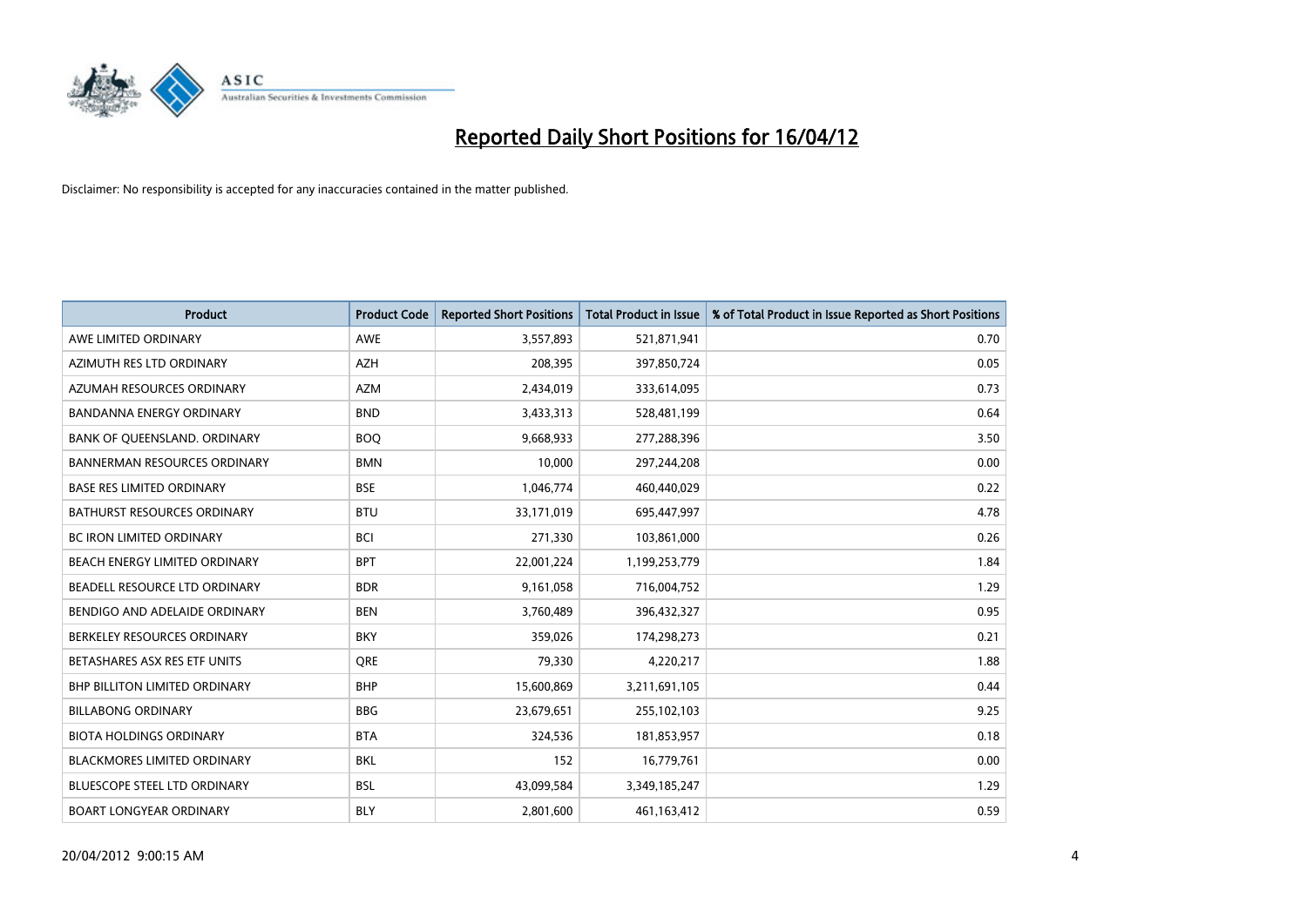

| <b>Product</b>                       | <b>Product Code</b> | <b>Reported Short Positions</b> | <b>Total Product in Issue</b> | % of Total Product in Issue Reported as Short Positions |
|--------------------------------------|---------------------|---------------------------------|-------------------------------|---------------------------------------------------------|
| AWE LIMITED ORDINARY                 | <b>AWE</b>          | 3,557,893                       | 521,871,941                   | 0.70                                                    |
| AZIMUTH RES LTD ORDINARY             | AZH                 | 208,395                         | 397,850,724                   | 0.05                                                    |
| AZUMAH RESOURCES ORDINARY            | <b>AZM</b>          | 2,434,019                       | 333,614,095                   | 0.73                                                    |
| <b>BANDANNA ENERGY ORDINARY</b>      | <b>BND</b>          | 3,433,313                       | 528,481,199                   | 0.64                                                    |
| BANK OF QUEENSLAND. ORDINARY         | <b>BOQ</b>          | 9,668,933                       | 277,288,396                   | 3.50                                                    |
| <b>BANNERMAN RESOURCES ORDINARY</b>  | <b>BMN</b>          | 10,000                          | 297,244,208                   | 0.00                                                    |
| <b>BASE RES LIMITED ORDINARY</b>     | <b>BSE</b>          | 1,046,774                       | 460,440,029                   | 0.22                                                    |
| BATHURST RESOURCES ORDINARY          | <b>BTU</b>          | 33,171,019                      | 695,447,997                   | 4.78                                                    |
| <b>BC IRON LIMITED ORDINARY</b>      | <b>BCI</b>          | 271,330                         | 103,861,000                   | 0.26                                                    |
| BEACH ENERGY LIMITED ORDINARY        | <b>BPT</b>          | 22,001,224                      | 1,199,253,779                 | 1.84                                                    |
| BEADELL RESOURCE LTD ORDINARY        | <b>BDR</b>          | 9,161,058                       | 716,004,752                   | 1.29                                                    |
| BENDIGO AND ADELAIDE ORDINARY        | <b>BEN</b>          | 3,760,489                       | 396,432,327                   | 0.95                                                    |
| BERKELEY RESOURCES ORDINARY          | <b>BKY</b>          | 359,026                         | 174,298,273                   | 0.21                                                    |
| BETASHARES ASX RES ETF UNITS         | <b>ORE</b>          | 79,330                          | 4,220,217                     | 1.88                                                    |
| <b>BHP BILLITON LIMITED ORDINARY</b> | <b>BHP</b>          | 15,600,869                      | 3,211,691,105                 | 0.44                                                    |
| <b>BILLABONG ORDINARY</b>            | <b>BBG</b>          | 23,679,651                      | 255,102,103                   | 9.25                                                    |
| <b>BIOTA HOLDINGS ORDINARY</b>       | <b>BTA</b>          | 324,536                         | 181,853,957                   | 0.18                                                    |
| <b>BLACKMORES LIMITED ORDINARY</b>   | <b>BKL</b>          | 152                             | 16,779,761                    | 0.00                                                    |
| BLUESCOPE STEEL LTD ORDINARY         | <b>BSL</b>          | 43,099,584                      | 3,349,185,247                 | 1.29                                                    |
| <b>BOART LONGYEAR ORDINARY</b>       | <b>BLY</b>          | 2,801,600                       | 461,163,412                   | 0.59                                                    |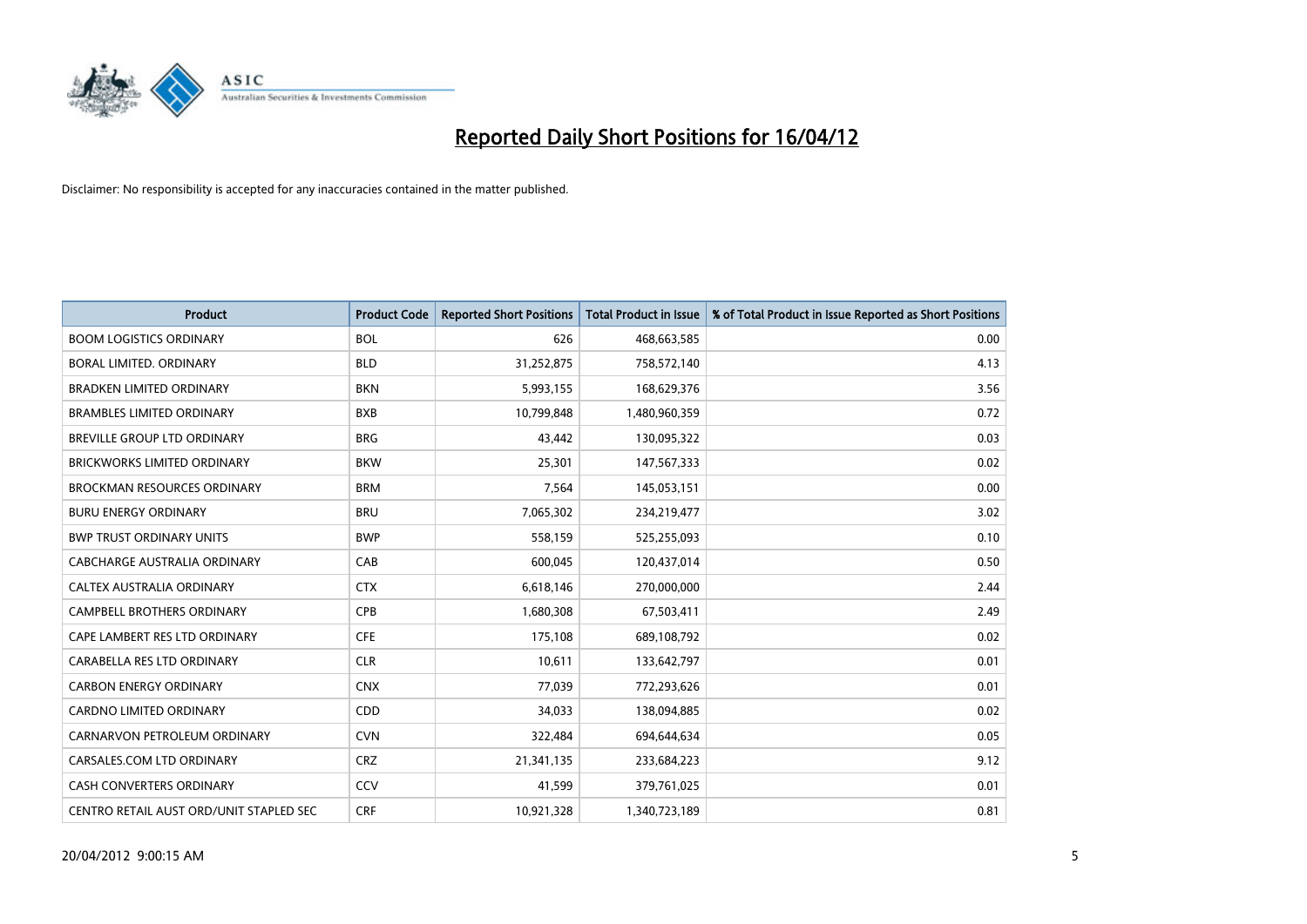

| <b>Product</b>                          | <b>Product Code</b> | <b>Reported Short Positions</b> | <b>Total Product in Issue</b> | % of Total Product in Issue Reported as Short Positions |
|-----------------------------------------|---------------------|---------------------------------|-------------------------------|---------------------------------------------------------|
| <b>BOOM LOGISTICS ORDINARY</b>          | <b>BOL</b>          | 626                             | 468,663,585                   | 0.00                                                    |
| BORAL LIMITED. ORDINARY                 | <b>BLD</b>          | 31,252,875                      | 758,572,140                   | 4.13                                                    |
| <b>BRADKEN LIMITED ORDINARY</b>         | <b>BKN</b>          | 5,993,155                       | 168,629,376                   | 3.56                                                    |
| <b>BRAMBLES LIMITED ORDINARY</b>        | <b>BXB</b>          | 10,799,848                      | 1,480,960,359                 | 0.72                                                    |
| BREVILLE GROUP LTD ORDINARY             | <b>BRG</b>          | 43,442                          | 130,095,322                   | 0.03                                                    |
| <b>BRICKWORKS LIMITED ORDINARY</b>      | <b>BKW</b>          | 25,301                          | 147,567,333                   | 0.02                                                    |
| <b>BROCKMAN RESOURCES ORDINARY</b>      | <b>BRM</b>          | 7,564                           | 145,053,151                   | 0.00                                                    |
| <b>BURU ENERGY ORDINARY</b>             | <b>BRU</b>          | 7,065,302                       | 234,219,477                   | 3.02                                                    |
| <b>BWP TRUST ORDINARY UNITS</b>         | <b>BWP</b>          | 558,159                         | 525,255,093                   | 0.10                                                    |
| CABCHARGE AUSTRALIA ORDINARY            | CAB                 | 600,045                         | 120,437,014                   | 0.50                                                    |
| CALTEX AUSTRALIA ORDINARY               | <b>CTX</b>          | 6,618,146                       | 270,000,000                   | 2.44                                                    |
| <b>CAMPBELL BROTHERS ORDINARY</b>       | <b>CPB</b>          | 1,680,308                       | 67,503,411                    | 2.49                                                    |
| CAPE LAMBERT RES LTD ORDINARY           | <b>CFE</b>          | 175,108                         | 689,108,792                   | 0.02                                                    |
| CARABELLA RES LTD ORDINARY              | <b>CLR</b>          | 10,611                          | 133,642,797                   | 0.01                                                    |
| <b>CARBON ENERGY ORDINARY</b>           | <b>CNX</b>          | 77,039                          | 772,293,626                   | 0.01                                                    |
| CARDNO LIMITED ORDINARY                 | CDD                 | 34,033                          | 138,094,885                   | 0.02                                                    |
| CARNARVON PETROLEUM ORDINARY            | <b>CVN</b>          | 322,484                         | 694,644,634                   | 0.05                                                    |
| CARSALES.COM LTD ORDINARY               | <b>CRZ</b>          | 21,341,135                      | 233,684,223                   | 9.12                                                    |
| <b>CASH CONVERTERS ORDINARY</b>         | CCV                 | 41,599                          | 379,761,025                   | 0.01                                                    |
| CENTRO RETAIL AUST ORD/UNIT STAPLED SEC | <b>CRF</b>          | 10,921,328                      | 1,340,723,189                 | 0.81                                                    |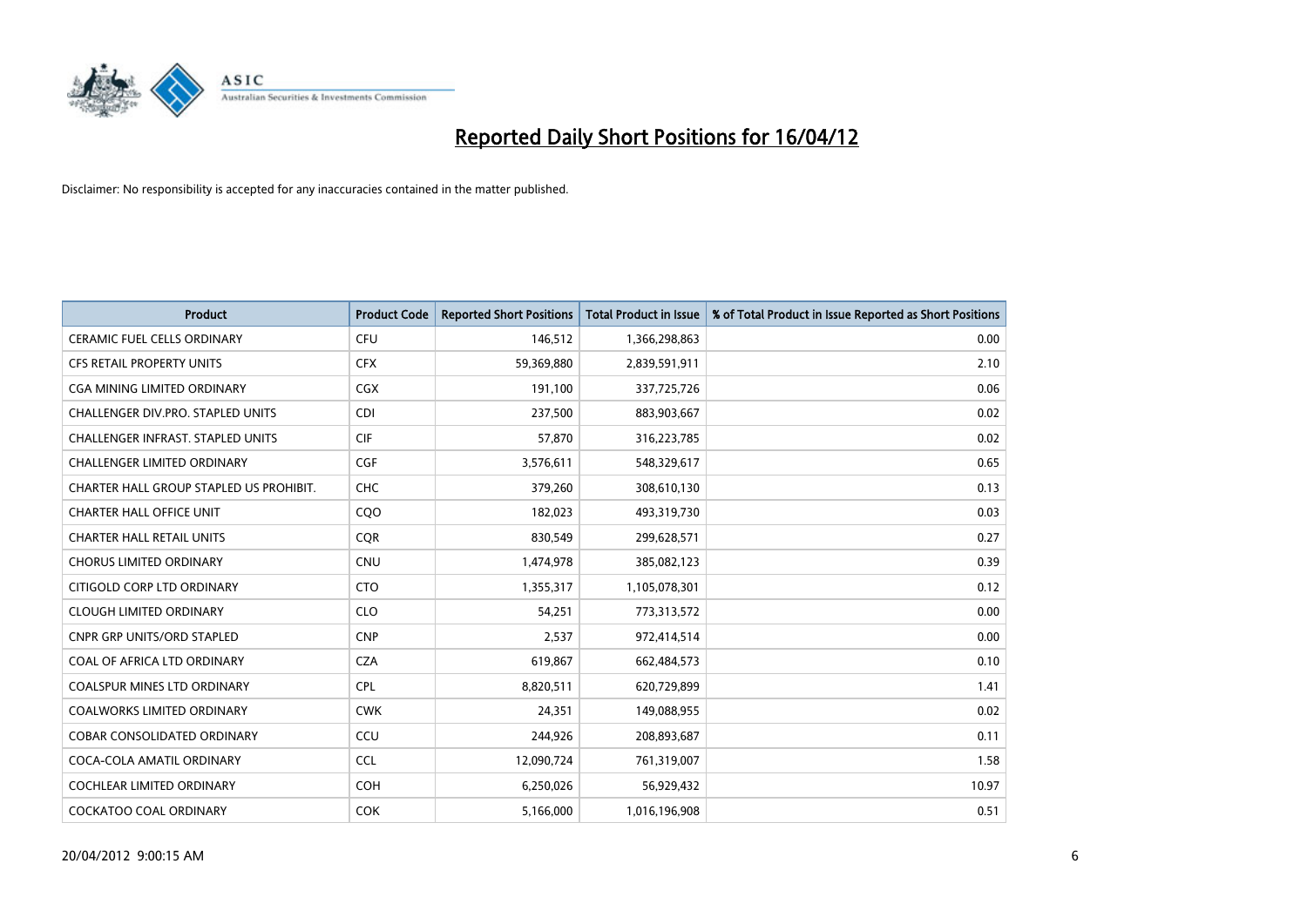

| <b>Product</b>                           | <b>Product Code</b> | <b>Reported Short Positions</b> | <b>Total Product in Issue</b> | % of Total Product in Issue Reported as Short Positions |
|------------------------------------------|---------------------|---------------------------------|-------------------------------|---------------------------------------------------------|
| <b>CERAMIC FUEL CELLS ORDINARY</b>       | <b>CFU</b>          | 146,512                         | 1,366,298,863                 | 0.00                                                    |
| CFS RETAIL PROPERTY UNITS                | <b>CFX</b>          | 59,369,880                      | 2,839,591,911                 | 2.10                                                    |
| CGA MINING LIMITED ORDINARY              | CGX                 | 191,100                         | 337,725,726                   | 0.06                                                    |
| CHALLENGER DIV.PRO. STAPLED UNITS        | <b>CDI</b>          | 237,500                         | 883,903,667                   | 0.02                                                    |
| <b>CHALLENGER INFRAST, STAPLED UNITS</b> | <b>CIF</b>          | 57,870                          | 316,223,785                   | 0.02                                                    |
| <b>CHALLENGER LIMITED ORDINARY</b>       | <b>CGF</b>          | 3,576,611                       | 548,329,617                   | 0.65                                                    |
| CHARTER HALL GROUP STAPLED US PROHIBIT.  | <b>CHC</b>          | 379,260                         | 308,610,130                   | 0.13                                                    |
| <b>CHARTER HALL OFFICE UNIT</b>          | CQO                 | 182,023                         | 493,319,730                   | 0.03                                                    |
| <b>CHARTER HALL RETAIL UNITS</b>         | <b>CQR</b>          | 830,549                         | 299,628,571                   | 0.27                                                    |
| <b>CHORUS LIMITED ORDINARY</b>           | <b>CNU</b>          | 1,474,978                       | 385,082,123                   | 0.39                                                    |
| CITIGOLD CORP LTD ORDINARY               | <b>CTO</b>          | 1,355,317                       | 1,105,078,301                 | 0.12                                                    |
| <b>CLOUGH LIMITED ORDINARY</b>           | <b>CLO</b>          | 54,251                          | 773,313,572                   | 0.00                                                    |
| <b>CNPR GRP UNITS/ORD STAPLED</b>        | <b>CNP</b>          | 2,537                           | 972,414,514                   | 0.00                                                    |
| COAL OF AFRICA LTD ORDINARY              | <b>CZA</b>          | 619,867                         | 662,484,573                   | 0.10                                                    |
| <b>COALSPUR MINES LTD ORDINARY</b>       | <b>CPL</b>          | 8,820,511                       | 620,729,899                   | 1.41                                                    |
| COALWORKS LIMITED ORDINARY               | <b>CWK</b>          | 24,351                          | 149,088,955                   | 0.02                                                    |
| COBAR CONSOLIDATED ORDINARY              | CCU                 | 244,926                         | 208,893,687                   | 0.11                                                    |
| COCA-COLA AMATIL ORDINARY                | <b>CCL</b>          | 12,090,724                      | 761,319,007                   | 1.58                                                    |
| <b>COCHLEAR LIMITED ORDINARY</b>         | <b>COH</b>          | 6,250,026                       | 56,929,432                    | 10.97                                                   |
| <b>COCKATOO COAL ORDINARY</b>            | <b>COK</b>          | 5,166,000                       | 1,016,196,908                 | 0.51                                                    |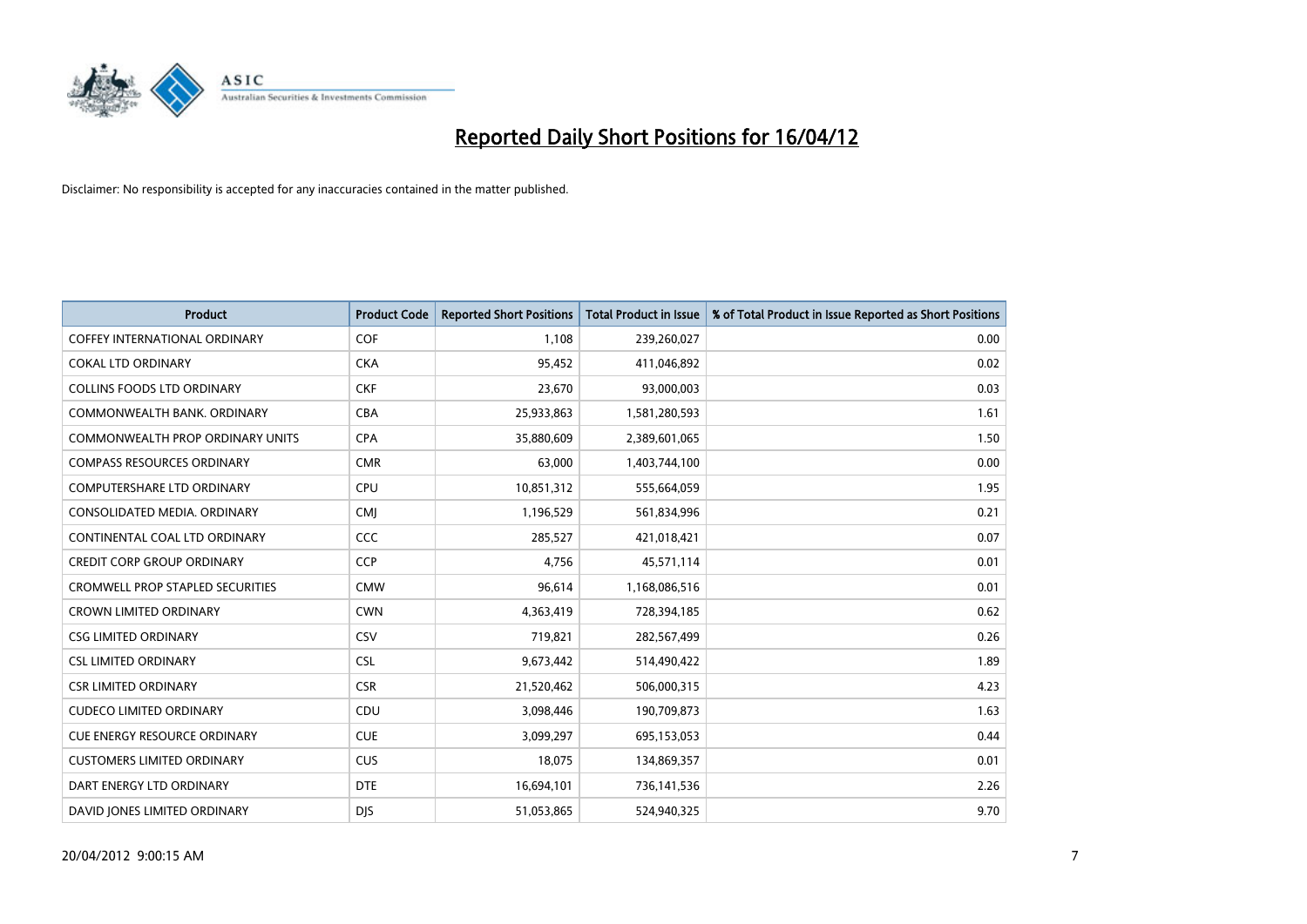

| Product                              | <b>Product Code</b> | <b>Reported Short Positions</b> | <b>Total Product in Issue</b> | % of Total Product in Issue Reported as Short Positions |
|--------------------------------------|---------------------|---------------------------------|-------------------------------|---------------------------------------------------------|
| <b>COFFEY INTERNATIONAL ORDINARY</b> | <b>COF</b>          | 1,108                           | 239,260,027                   | 0.00                                                    |
| <b>COKAL LTD ORDINARY</b>            | <b>CKA</b>          | 95,452                          | 411,046,892                   | 0.02                                                    |
| <b>COLLINS FOODS LTD ORDINARY</b>    | <b>CKF</b>          | 23,670                          | 93,000,003                    | 0.03                                                    |
| COMMONWEALTH BANK, ORDINARY          | <b>CBA</b>          | 25,933,863                      | 1,581,280,593                 | 1.61                                                    |
| COMMONWEALTH PROP ORDINARY UNITS     | <b>CPA</b>          | 35,880,609                      | 2,389,601,065                 | 1.50                                                    |
| <b>COMPASS RESOURCES ORDINARY</b>    | <b>CMR</b>          | 63,000                          | 1,403,744,100                 | 0.00                                                    |
| <b>COMPUTERSHARE LTD ORDINARY</b>    | <b>CPU</b>          | 10,851,312                      | 555,664,059                   | 1.95                                                    |
| CONSOLIDATED MEDIA. ORDINARY         | <b>CMJ</b>          | 1,196,529                       | 561,834,996                   | 0.21                                                    |
| CONTINENTAL COAL LTD ORDINARY        | CCC                 | 285,527                         | 421,018,421                   | 0.07                                                    |
| <b>CREDIT CORP GROUP ORDINARY</b>    | <b>CCP</b>          | 4,756                           | 45,571,114                    | 0.01                                                    |
| CROMWELL PROP STAPLED SECURITIES     | <b>CMW</b>          | 96,614                          | 1,168,086,516                 | 0.01                                                    |
| <b>CROWN LIMITED ORDINARY</b>        | <b>CWN</b>          | 4,363,419                       | 728,394,185                   | 0.62                                                    |
| <b>CSG LIMITED ORDINARY</b>          | CSV                 | 719,821                         | 282,567,499                   | 0.26                                                    |
| <b>CSL LIMITED ORDINARY</b>          | <b>CSL</b>          | 9,673,442                       | 514,490,422                   | 1.89                                                    |
| <b>CSR LIMITED ORDINARY</b>          | <b>CSR</b>          | 21,520,462                      | 506,000,315                   | 4.23                                                    |
| <b>CUDECO LIMITED ORDINARY</b>       | CDU                 | 3,098,446                       | 190,709,873                   | 1.63                                                    |
| CUE ENERGY RESOURCE ORDINARY         | <b>CUE</b>          | 3,099,297                       | 695,153,053                   | 0.44                                                    |
| <b>CUSTOMERS LIMITED ORDINARY</b>    | <b>CUS</b>          | 18,075                          | 134,869,357                   | 0.01                                                    |
| DART ENERGY LTD ORDINARY             | <b>DTE</b>          | 16,694,101                      | 736,141,536                   | 2.26                                                    |
| DAVID JONES LIMITED ORDINARY         | <b>DJS</b>          | 51,053,865                      | 524,940,325                   | 9.70                                                    |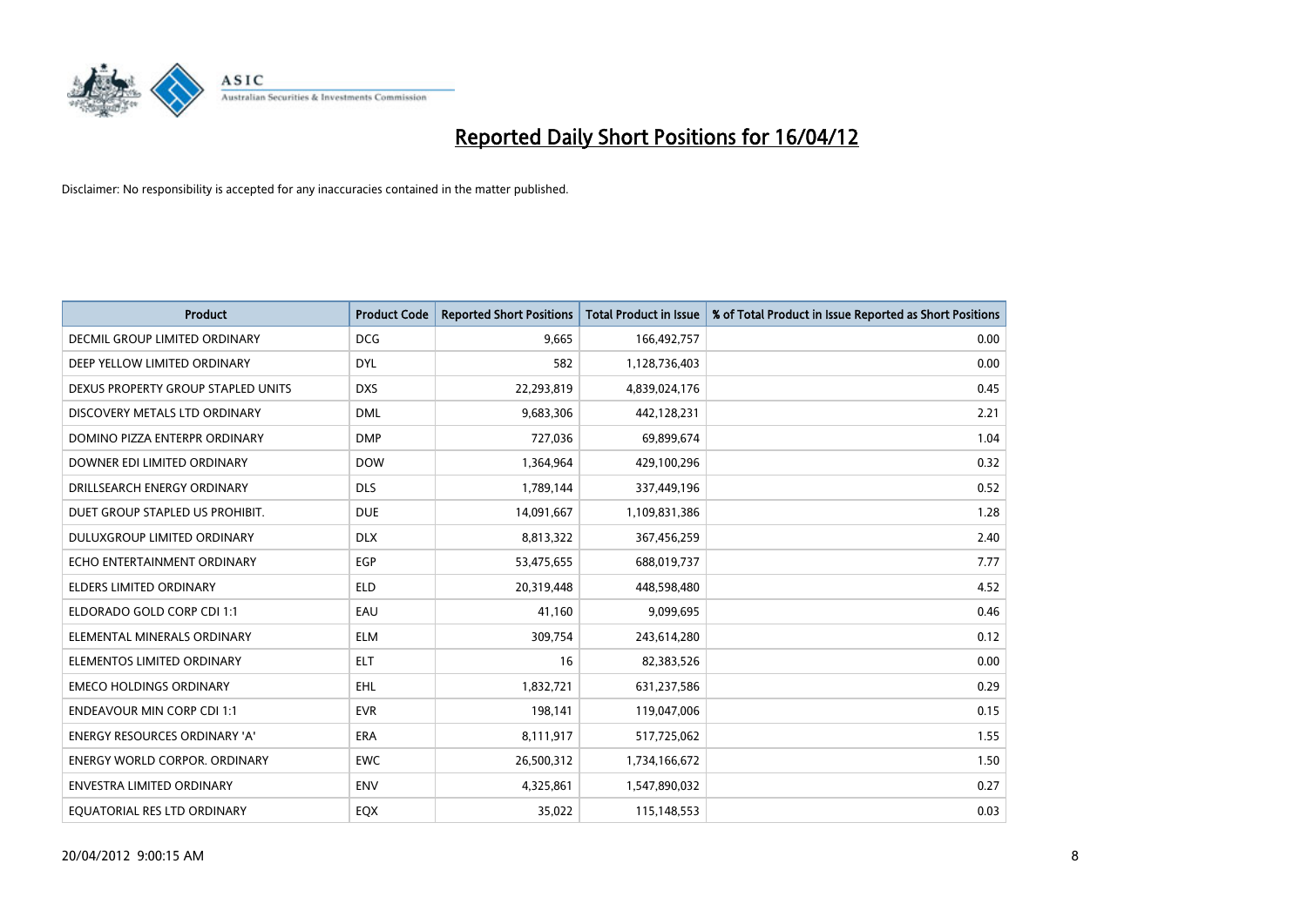

| <b>Product</b>                       | <b>Product Code</b> | <b>Reported Short Positions</b> | <b>Total Product in Issue</b> | % of Total Product in Issue Reported as Short Positions |
|--------------------------------------|---------------------|---------------------------------|-------------------------------|---------------------------------------------------------|
| <b>DECMIL GROUP LIMITED ORDINARY</b> | <b>DCG</b>          | 9.665                           | 166,492,757                   | 0.00                                                    |
| DEEP YELLOW LIMITED ORDINARY         | <b>DYL</b>          | 582                             | 1,128,736,403                 | 0.00                                                    |
| DEXUS PROPERTY GROUP STAPLED UNITS   | <b>DXS</b>          | 22,293,819                      | 4,839,024,176                 | 0.45                                                    |
| DISCOVERY METALS LTD ORDINARY        | <b>DML</b>          | 9,683,306                       | 442,128,231                   | 2.21                                                    |
| DOMINO PIZZA ENTERPR ORDINARY        | <b>DMP</b>          | 727,036                         | 69,899,674                    | 1.04                                                    |
| DOWNER EDI LIMITED ORDINARY          | <b>DOW</b>          | 1,364,964                       | 429,100,296                   | 0.32                                                    |
| DRILLSEARCH ENERGY ORDINARY          | <b>DLS</b>          | 1,789,144                       | 337,449,196                   | 0.52                                                    |
| DUET GROUP STAPLED US PROHIBIT.      | <b>DUE</b>          | 14,091,667                      | 1,109,831,386                 | 1.28                                                    |
| DULUXGROUP LIMITED ORDINARY          | <b>DLX</b>          | 8,813,322                       | 367,456,259                   | 2.40                                                    |
| ECHO ENTERTAINMENT ORDINARY          | <b>EGP</b>          | 53,475,655                      | 688,019,737                   | 7.77                                                    |
| <b>ELDERS LIMITED ORDINARY</b>       | <b>ELD</b>          | 20,319,448                      | 448,598,480                   | 4.52                                                    |
| ELDORADO GOLD CORP CDI 1:1           | EAU                 | 41,160                          | 9,099,695                     | 0.46                                                    |
| ELEMENTAL MINERALS ORDINARY          | <b>ELM</b>          | 309,754                         | 243,614,280                   | 0.12                                                    |
| ELEMENTOS LIMITED ORDINARY           | <b>ELT</b>          | 16                              | 82,383,526                    | 0.00                                                    |
| <b>EMECO HOLDINGS ORDINARY</b>       | <b>EHL</b>          | 1,832,721                       | 631,237,586                   | 0.29                                                    |
| <b>ENDEAVOUR MIN CORP CDI 1:1</b>    | <b>EVR</b>          | 198,141                         | 119,047,006                   | 0.15                                                    |
| ENERGY RESOURCES ORDINARY 'A'        | ERA                 | 8,111,917                       | 517,725,062                   | 1.55                                                    |
| <b>ENERGY WORLD CORPOR. ORDINARY</b> | <b>EWC</b>          | 26,500,312                      | 1,734,166,672                 | 1.50                                                    |
| <b>ENVESTRA LIMITED ORDINARY</b>     | <b>ENV</b>          | 4,325,861                       | 1,547,890,032                 | 0.27                                                    |
| EQUATORIAL RES LTD ORDINARY          | EQX                 | 35,022                          | 115,148,553                   | 0.03                                                    |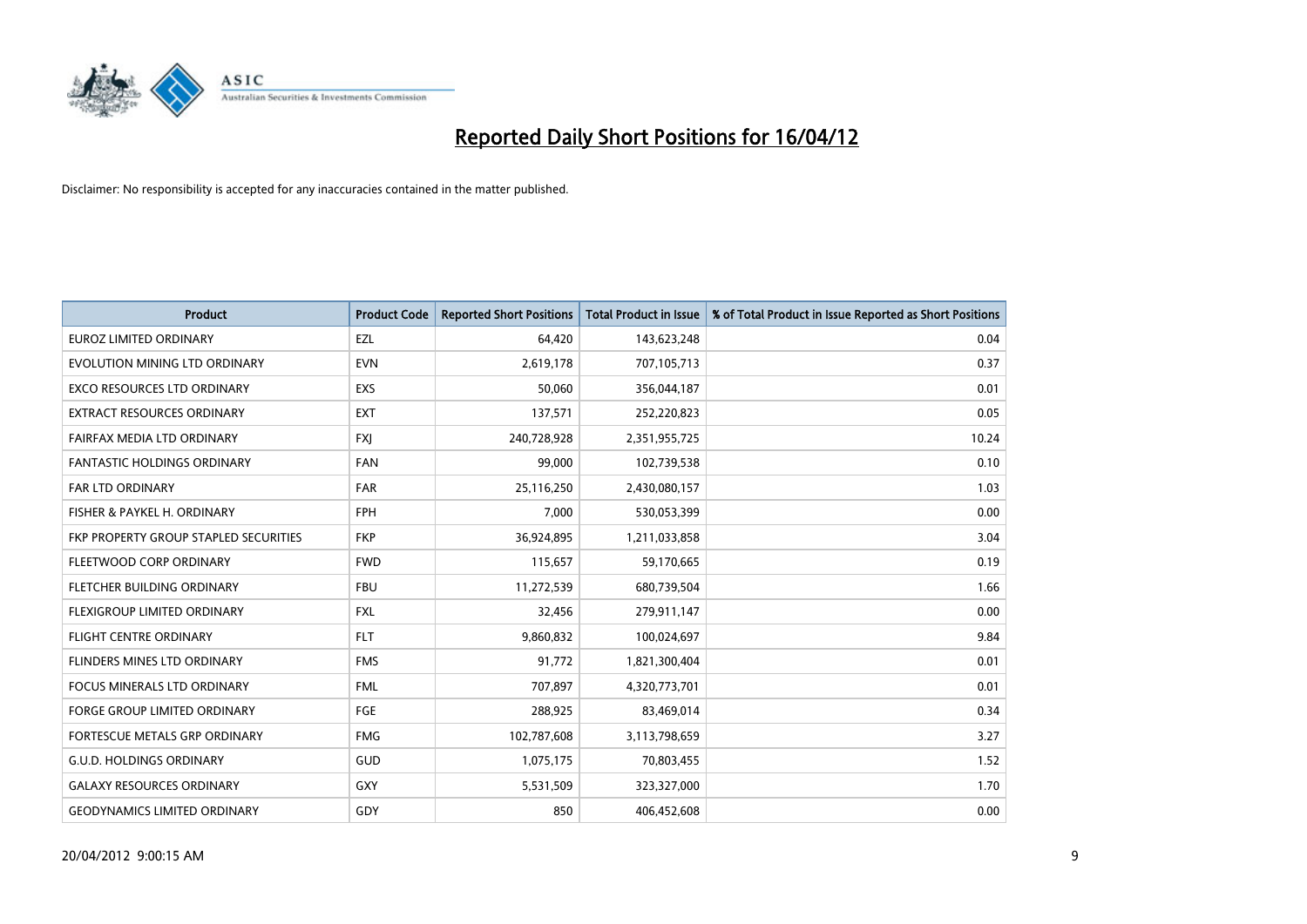

| <b>Product</b>                        | <b>Product Code</b> | <b>Reported Short Positions</b> | <b>Total Product in Issue</b> | % of Total Product in Issue Reported as Short Positions |
|---------------------------------------|---------------------|---------------------------------|-------------------------------|---------------------------------------------------------|
| <b>EUROZ LIMITED ORDINARY</b>         | EZL                 | 64,420                          | 143,623,248                   | 0.04                                                    |
| EVOLUTION MINING LTD ORDINARY         | <b>EVN</b>          | 2,619,178                       | 707,105,713                   | 0.37                                                    |
| EXCO RESOURCES LTD ORDINARY           | <b>EXS</b>          | 50,060                          | 356,044,187                   | 0.01                                                    |
| <b>EXTRACT RESOURCES ORDINARY</b>     | <b>EXT</b>          | 137,571                         | 252,220,823                   | 0.05                                                    |
| FAIRFAX MEDIA LTD ORDINARY            | <b>FXI</b>          | 240,728,928                     | 2,351,955,725                 | 10.24                                                   |
| <b>FANTASTIC HOLDINGS ORDINARY</b>    | <b>FAN</b>          | 99,000                          | 102,739,538                   | 0.10                                                    |
| <b>FAR LTD ORDINARY</b>               | <b>FAR</b>          | 25,116,250                      | 2,430,080,157                 | 1.03                                                    |
| FISHER & PAYKEL H. ORDINARY           | <b>FPH</b>          | 7,000                           | 530,053,399                   | 0.00                                                    |
| FKP PROPERTY GROUP STAPLED SECURITIES | <b>FKP</b>          | 36,924,895                      | 1,211,033,858                 | 3.04                                                    |
| FLEETWOOD CORP ORDINARY               | <b>FWD</b>          | 115,657                         | 59,170,665                    | 0.19                                                    |
| FLETCHER BUILDING ORDINARY            | <b>FBU</b>          | 11,272,539                      | 680,739,504                   | 1.66                                                    |
| FLEXIGROUP LIMITED ORDINARY           | <b>FXL</b>          | 32,456                          | 279,911,147                   | 0.00                                                    |
| FLIGHT CENTRE ORDINARY                | <b>FLT</b>          | 9,860,832                       | 100,024,697                   | 9.84                                                    |
| FLINDERS MINES LTD ORDINARY           | <b>FMS</b>          | 91,772                          | 1,821,300,404                 | 0.01                                                    |
| <b>FOCUS MINERALS LTD ORDINARY</b>    | <b>FML</b>          | 707,897                         | 4,320,773,701                 | 0.01                                                    |
| <b>FORGE GROUP LIMITED ORDINARY</b>   | <b>FGE</b>          | 288,925                         | 83,469,014                    | 0.34                                                    |
| FORTESCUE METALS GRP ORDINARY         | <b>FMG</b>          | 102,787,608                     | 3,113,798,659                 | 3.27                                                    |
| G.U.D. HOLDINGS ORDINARY              | GUD                 | 1,075,175                       | 70,803,455                    | 1.52                                                    |
| <b>GALAXY RESOURCES ORDINARY</b>      | <b>GXY</b>          | 5,531,509                       | 323,327,000                   | 1.70                                                    |
| <b>GEODYNAMICS LIMITED ORDINARY</b>   | GDY                 | 850                             | 406,452,608                   | 0.00                                                    |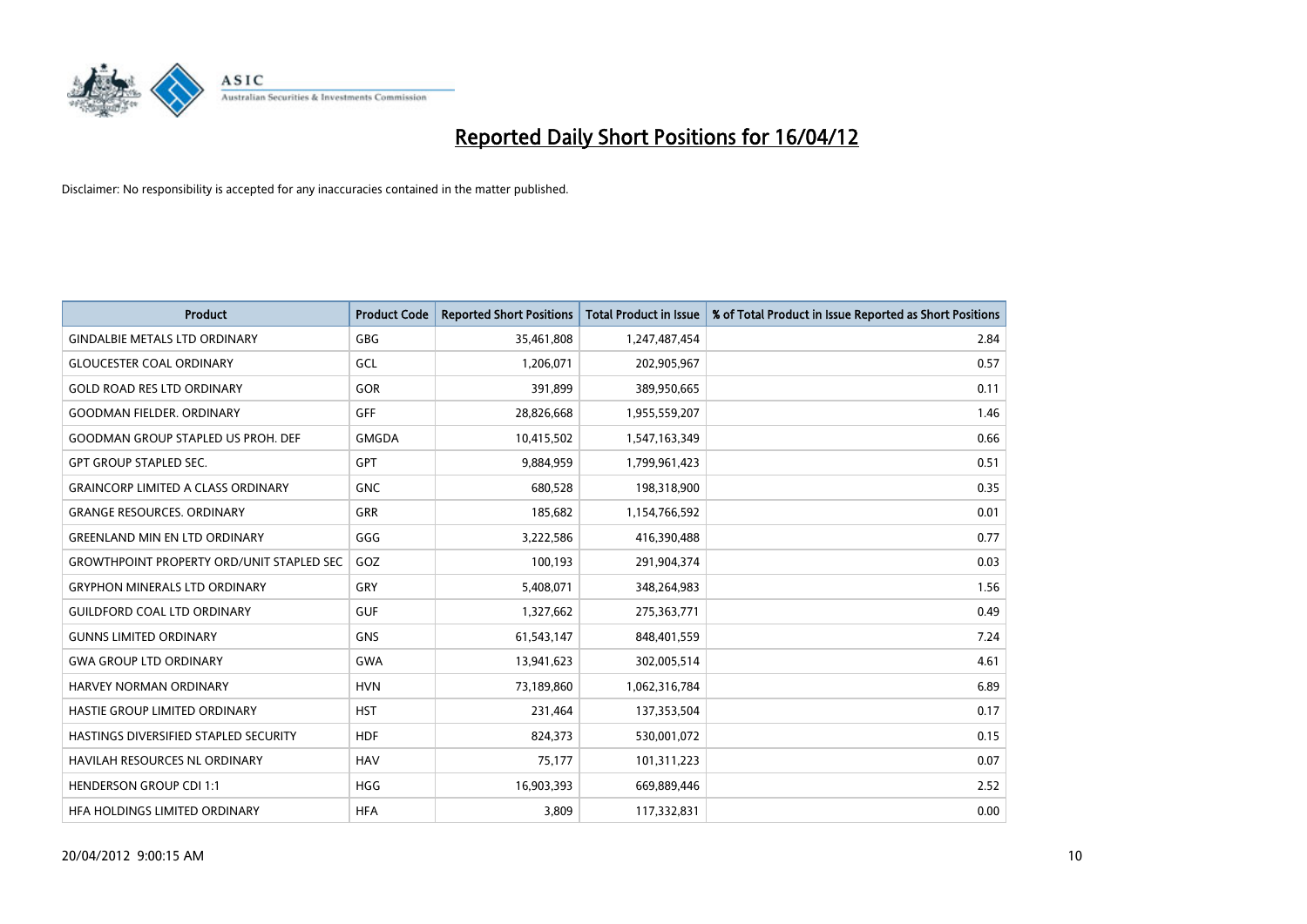

| Product                                          | <b>Product Code</b> | <b>Reported Short Positions</b> | <b>Total Product in Issue</b> | % of Total Product in Issue Reported as Short Positions |
|--------------------------------------------------|---------------------|---------------------------------|-------------------------------|---------------------------------------------------------|
| <b>GINDALBIE METALS LTD ORDINARY</b>             | GBG                 | 35,461,808                      | 1,247,487,454                 | 2.84                                                    |
| <b>GLOUCESTER COAL ORDINARY</b>                  | GCL                 | 1,206,071                       | 202,905,967                   | 0.57                                                    |
| <b>GOLD ROAD RES LTD ORDINARY</b>                | GOR                 | 391,899                         | 389,950,665                   | 0.11                                                    |
| <b>GOODMAN FIELDER, ORDINARY</b>                 | <b>GFF</b>          | 28,826,668                      | 1,955,559,207                 | 1.46                                                    |
| <b>GOODMAN GROUP STAPLED US PROH. DEF</b>        | <b>GMGDA</b>        | 10,415,502                      | 1,547,163,349                 | 0.66                                                    |
| <b>GPT GROUP STAPLED SEC.</b>                    | <b>GPT</b>          | 9,884,959                       | 1,799,961,423                 | 0.51                                                    |
| <b>GRAINCORP LIMITED A CLASS ORDINARY</b>        | <b>GNC</b>          | 680,528                         | 198,318,900                   | 0.35                                                    |
| <b>GRANGE RESOURCES. ORDINARY</b>                | GRR                 | 185,682                         | 1,154,766,592                 | 0.01                                                    |
| <b>GREENLAND MIN EN LTD ORDINARY</b>             | GGG                 | 3,222,586                       | 416,390,488                   | 0.77                                                    |
| <b>GROWTHPOINT PROPERTY ORD/UNIT STAPLED SEC</b> | GOZ                 | 100,193                         | 291,904,374                   | 0.03                                                    |
| <b>GRYPHON MINERALS LTD ORDINARY</b>             | GRY                 | 5,408,071                       | 348,264,983                   | 1.56                                                    |
| <b>GUILDFORD COAL LTD ORDINARY</b>               | <b>GUF</b>          | 1,327,662                       | 275,363,771                   | 0.49                                                    |
| <b>GUNNS LIMITED ORDINARY</b>                    | <b>GNS</b>          | 61,543,147                      | 848,401,559                   | 7.24                                                    |
| <b>GWA GROUP LTD ORDINARY</b>                    | <b>GWA</b>          | 13,941,623                      | 302,005,514                   | 4.61                                                    |
| HARVEY NORMAN ORDINARY                           | <b>HVN</b>          | 73,189,860                      | 1,062,316,784                 | 6.89                                                    |
| HASTIE GROUP LIMITED ORDINARY                    | <b>HST</b>          | 231,464                         | 137,353,504                   | 0.17                                                    |
| HASTINGS DIVERSIFIED STAPLED SECURITY            | <b>HDF</b>          | 824,373                         | 530,001,072                   | 0.15                                                    |
| HAVILAH RESOURCES NL ORDINARY                    | <b>HAV</b>          | 75,177                          | 101,311,223                   | 0.07                                                    |
| <b>HENDERSON GROUP CDI 1:1</b>                   | <b>HGG</b>          | 16,903,393                      | 669,889,446                   | 2.52                                                    |
| HFA HOLDINGS LIMITED ORDINARY                    | <b>HFA</b>          | 3,809                           | 117,332,831                   | 0.00                                                    |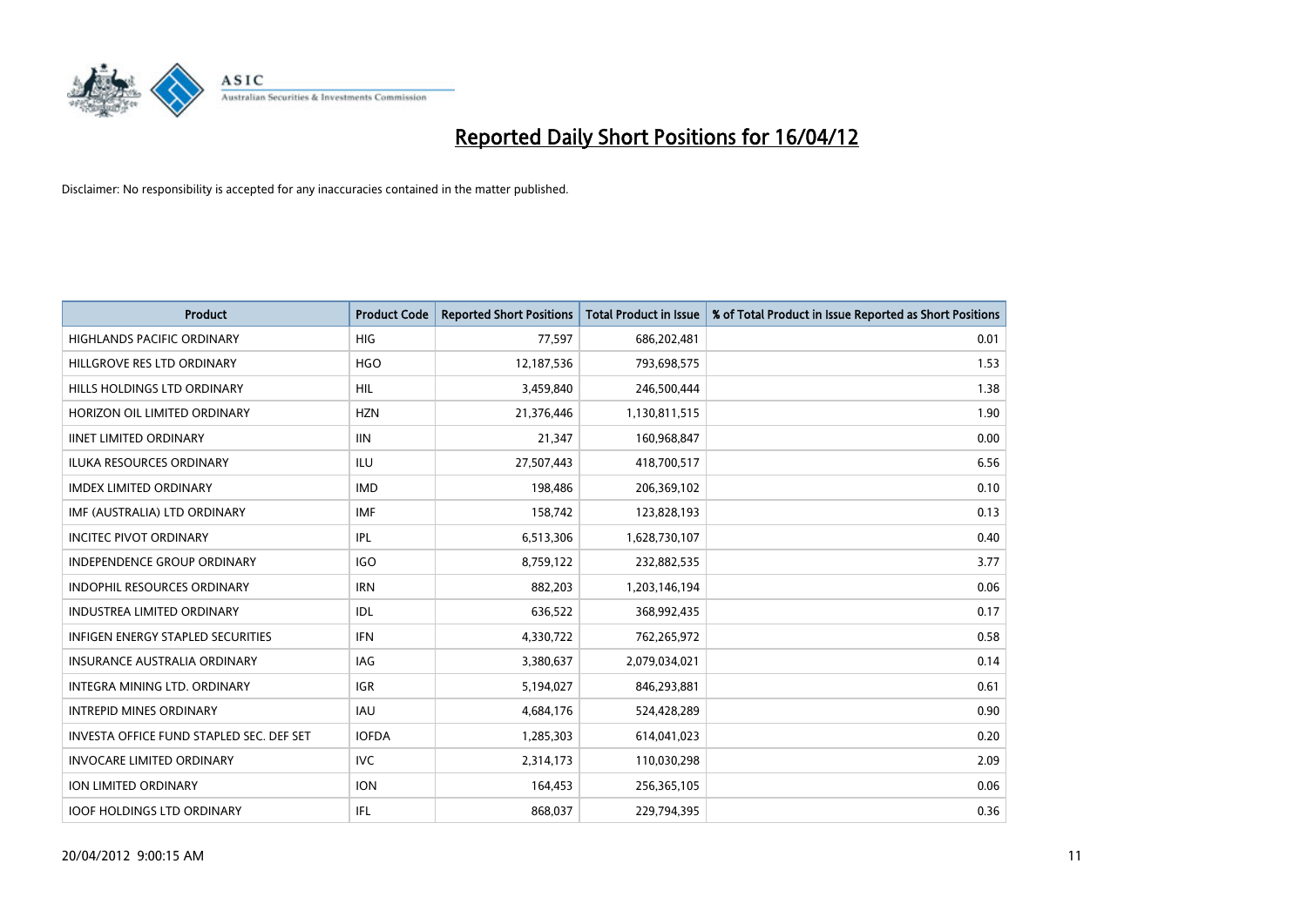

| <b>Product</b>                           | <b>Product Code</b> | <b>Reported Short Positions</b> | <b>Total Product in Issue</b> | % of Total Product in Issue Reported as Short Positions |
|------------------------------------------|---------------------|---------------------------------|-------------------------------|---------------------------------------------------------|
| <b>HIGHLANDS PACIFIC ORDINARY</b>        | <b>HIG</b>          | 77,597                          | 686,202,481                   | 0.01                                                    |
| HILLGROVE RES LTD ORDINARY               | <b>HGO</b>          | 12,187,536                      | 793,698,575                   | 1.53                                                    |
| HILLS HOLDINGS LTD ORDINARY              | <b>HIL</b>          | 3,459,840                       | 246,500,444                   | 1.38                                                    |
| HORIZON OIL LIMITED ORDINARY             | <b>HZN</b>          | 21,376,446                      | 1,130,811,515                 | 1.90                                                    |
| <b>IINET LIMITED ORDINARY</b>            | <b>IIN</b>          | 21,347                          | 160,968,847                   | 0.00                                                    |
| <b>ILUKA RESOURCES ORDINARY</b>          | <b>ILU</b>          | 27,507,443                      | 418,700,517                   | 6.56                                                    |
| <b>IMDEX LIMITED ORDINARY</b>            | <b>IMD</b>          | 198,486                         | 206,369,102                   | 0.10                                                    |
| IMF (AUSTRALIA) LTD ORDINARY             | <b>IMF</b>          | 158,742                         | 123,828,193                   | 0.13                                                    |
| <b>INCITEC PIVOT ORDINARY</b>            | <b>IPL</b>          | 6,513,306                       | 1,628,730,107                 | 0.40                                                    |
| <b>INDEPENDENCE GROUP ORDINARY</b>       | <b>IGO</b>          | 8,759,122                       | 232,882,535                   | 3.77                                                    |
| INDOPHIL RESOURCES ORDINARY              | <b>IRN</b>          | 882,203                         | 1,203,146,194                 | 0.06                                                    |
| <b>INDUSTREA LIMITED ORDINARY</b>        | IDL                 | 636,522                         | 368,992,435                   | 0.17                                                    |
| <b>INFIGEN ENERGY STAPLED SECURITIES</b> | <b>IFN</b>          | 4,330,722                       | 762,265,972                   | 0.58                                                    |
| <b>INSURANCE AUSTRALIA ORDINARY</b>      | IAG                 | 3,380,637                       | 2,079,034,021                 | 0.14                                                    |
| INTEGRA MINING LTD, ORDINARY             | <b>IGR</b>          | 5,194,027                       | 846,293,881                   | 0.61                                                    |
| <b>INTREPID MINES ORDINARY</b>           | <b>IAU</b>          | 4,684,176                       | 524,428,289                   | 0.90                                                    |
| INVESTA OFFICE FUND STAPLED SEC. DEF SET | <b>IOFDA</b>        | 1,285,303                       | 614,041,023                   | 0.20                                                    |
| <b>INVOCARE LIMITED ORDINARY</b>         | IVC.                | 2,314,173                       | 110,030,298                   | 2.09                                                    |
| <b>ION LIMITED ORDINARY</b>              | <b>ION</b>          | 164,453                         | 256,365,105                   | 0.06                                                    |
| <b>IOOF HOLDINGS LTD ORDINARY</b>        | IFL.                | 868,037                         | 229,794,395                   | 0.36                                                    |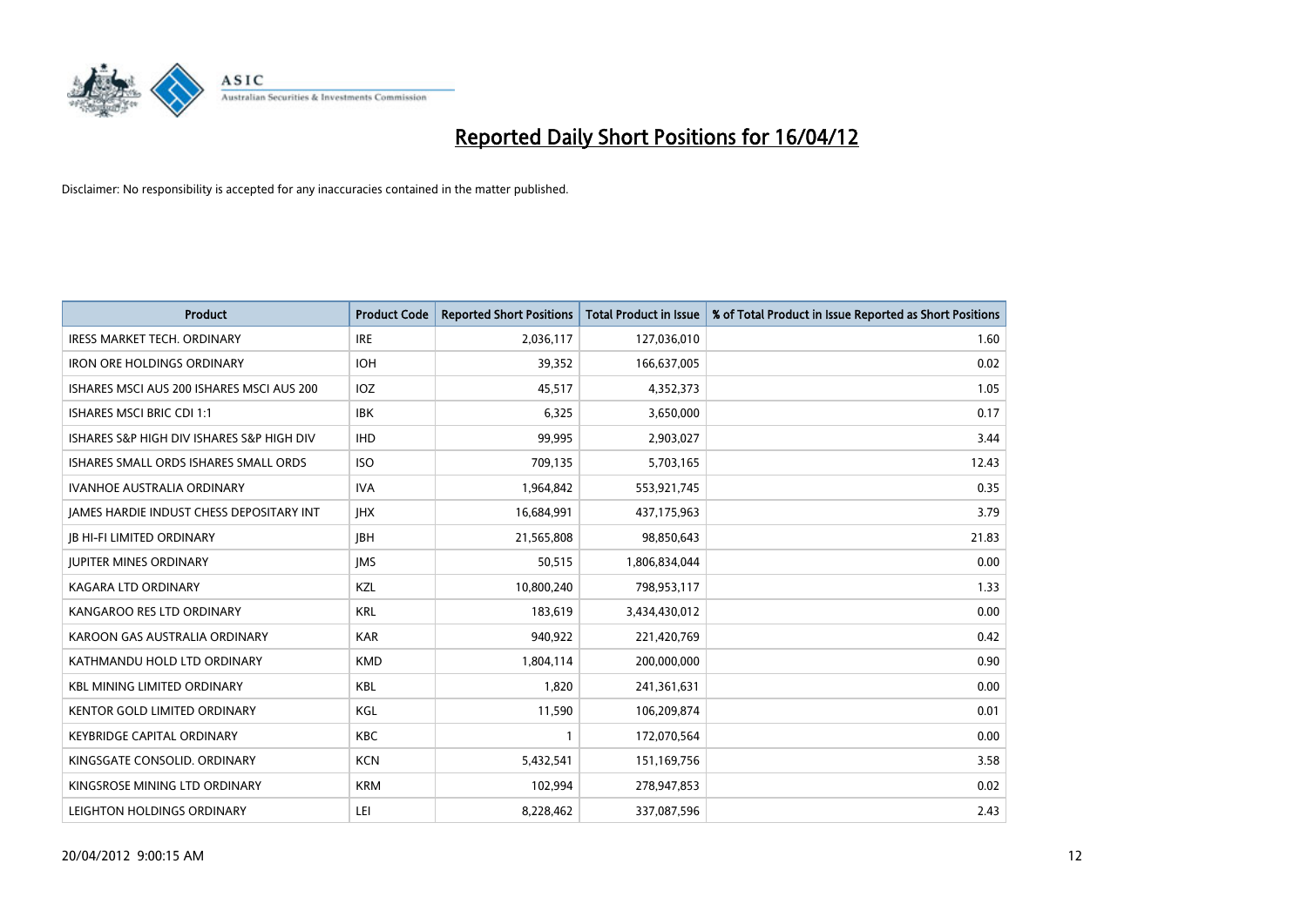

| <b>Product</b>                            | <b>Product Code</b> | <b>Reported Short Positions</b> | <b>Total Product in Issue</b> | % of Total Product in Issue Reported as Short Positions |
|-------------------------------------------|---------------------|---------------------------------|-------------------------------|---------------------------------------------------------|
| <b>IRESS MARKET TECH. ORDINARY</b>        | <b>IRE</b>          | 2,036,117                       | 127,036,010                   | 1.60                                                    |
| <b>IRON ORE HOLDINGS ORDINARY</b>         | <b>IOH</b>          | 39,352                          | 166,637,005                   | 0.02                                                    |
| ISHARES MSCI AUS 200 ISHARES MSCI AUS 200 | <b>IOZ</b>          | 45,517                          | 4,352,373                     | 1.05                                                    |
| <b>ISHARES MSCI BRIC CDI 1:1</b>          | <b>IBK</b>          | 6,325                           | 3,650,000                     | 0.17                                                    |
| ISHARES S&P HIGH DIV ISHARES S&P HIGH DIV | <b>IHD</b>          | 99,995                          | 2,903,027                     | 3.44                                                    |
| ISHARES SMALL ORDS ISHARES SMALL ORDS     | <b>ISO</b>          | 709,135                         | 5,703,165                     | 12.43                                                   |
| <b>IVANHOE AUSTRALIA ORDINARY</b>         | <b>IVA</b>          | 1,964,842                       | 553,921,745                   | 0.35                                                    |
| JAMES HARDIE INDUST CHESS DEPOSITARY INT  | <b>JHX</b>          | 16,684,991                      | 437,175,963                   | 3.79                                                    |
| <b>JB HI-FI LIMITED ORDINARY</b>          | <b>IBH</b>          | 21,565,808                      | 98,850,643                    | 21.83                                                   |
| <b>JUPITER MINES ORDINARY</b>             | <b>IMS</b>          | 50,515                          | 1,806,834,044                 | 0.00                                                    |
| KAGARA LTD ORDINARY                       | KZL                 | 10,800,240                      | 798,953,117                   | 1.33                                                    |
| KANGAROO RES LTD ORDINARY                 | <b>KRL</b>          | 183,619                         | 3,434,430,012                 | 0.00                                                    |
| KAROON GAS AUSTRALIA ORDINARY             | <b>KAR</b>          | 940,922                         | 221,420,769                   | 0.42                                                    |
| KATHMANDU HOLD LTD ORDINARY               | <b>KMD</b>          | 1,804,114                       | 200,000,000                   | 0.90                                                    |
| <b>KBL MINING LIMITED ORDINARY</b>        | <b>KBL</b>          | 1,820                           | 241,361,631                   | 0.00                                                    |
| <b>KENTOR GOLD LIMITED ORDINARY</b>       | KGL                 | 11,590                          | 106,209,874                   | 0.01                                                    |
| <b>KEYBRIDGE CAPITAL ORDINARY</b>         | KBC                 | 1                               | 172,070,564                   | 0.00                                                    |
| KINGSGATE CONSOLID, ORDINARY              | <b>KCN</b>          | 5,432,541                       | 151,169,756                   | 3.58                                                    |
| KINGSROSE MINING LTD ORDINARY             | <b>KRM</b>          | 102,994                         | 278,947,853                   | 0.02                                                    |
| LEIGHTON HOLDINGS ORDINARY                | LEI                 | 8,228,462                       | 337,087,596                   | 2.43                                                    |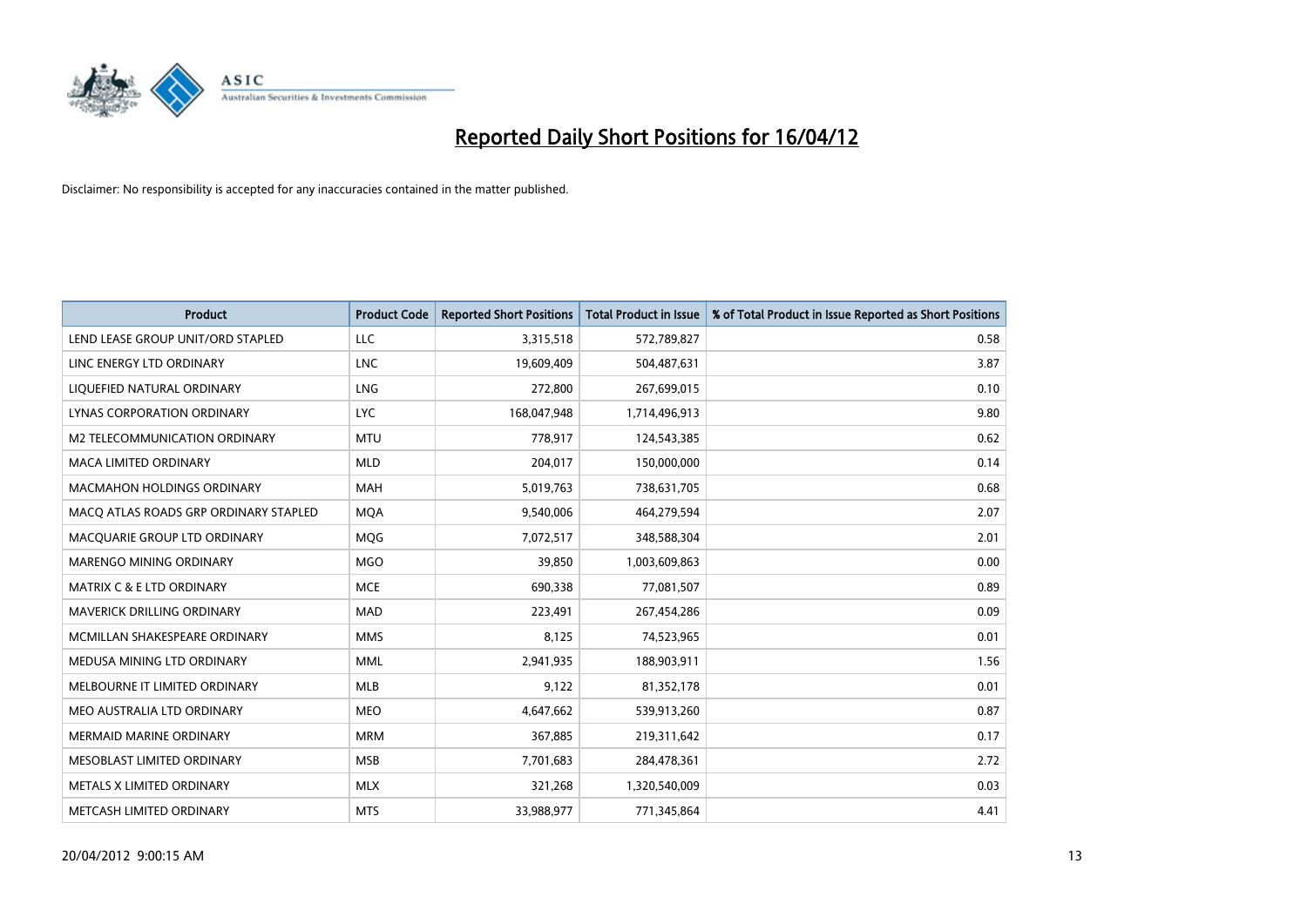

| <b>Product</b>                        | <b>Product Code</b> | <b>Reported Short Positions</b> | <b>Total Product in Issue</b> | % of Total Product in Issue Reported as Short Positions |
|---------------------------------------|---------------------|---------------------------------|-------------------------------|---------------------------------------------------------|
| LEND LEASE GROUP UNIT/ORD STAPLED     | <b>LLC</b>          | 3,315,518                       | 572,789,827                   | 0.58                                                    |
| LINC ENERGY LTD ORDINARY              | <b>LNC</b>          | 19,609,409                      | 504,487,631                   | 3.87                                                    |
| LIQUEFIED NATURAL ORDINARY            | <b>LNG</b>          | 272,800                         | 267,699,015                   | 0.10                                                    |
| LYNAS CORPORATION ORDINARY            | <b>LYC</b>          | 168,047,948                     | 1,714,496,913                 | 9.80                                                    |
| <b>M2 TELECOMMUNICATION ORDINARY</b>  | <b>MTU</b>          | 778,917                         | 124,543,385                   | 0.62                                                    |
| <b>MACA LIMITED ORDINARY</b>          | <b>MLD</b>          | 204,017                         | 150,000,000                   | 0.14                                                    |
| MACMAHON HOLDINGS ORDINARY            | <b>MAH</b>          | 5,019,763                       | 738,631,705                   | 0.68                                                    |
| MACO ATLAS ROADS GRP ORDINARY STAPLED | <b>MQA</b>          | 9,540,006                       | 464,279,594                   | 2.07                                                    |
| MACQUARIE GROUP LTD ORDINARY          | <b>MQG</b>          | 7,072,517                       | 348,588,304                   | 2.01                                                    |
| MARENGO MINING ORDINARY               | <b>MGO</b>          | 39,850                          | 1,003,609,863                 | 0.00                                                    |
| <b>MATRIX C &amp; E LTD ORDINARY</b>  | <b>MCE</b>          | 690,338                         | 77,081,507                    | 0.89                                                    |
| MAVERICK DRILLING ORDINARY            | <b>MAD</b>          | 223,491                         | 267,454,286                   | 0.09                                                    |
| MCMILLAN SHAKESPEARE ORDINARY         | <b>MMS</b>          | 8,125                           | 74,523,965                    | 0.01                                                    |
| MEDUSA MINING LTD ORDINARY            | <b>MML</b>          | 2,941,935                       | 188,903,911                   | 1.56                                                    |
| MELBOURNE IT LIMITED ORDINARY         | <b>MLB</b>          | 9,122                           | 81,352,178                    | 0.01                                                    |
| MEO AUSTRALIA LTD ORDINARY            | <b>MEO</b>          | 4,647,662                       | 539,913,260                   | 0.87                                                    |
| MERMAID MARINE ORDINARY               | <b>MRM</b>          | 367,885                         | 219,311,642                   | 0.17                                                    |
| MESOBLAST LIMITED ORDINARY            | <b>MSB</b>          | 7,701,683                       | 284,478,361                   | 2.72                                                    |
| METALS X LIMITED ORDINARY             | <b>MLX</b>          | 321,268                         | 1,320,540,009                 | 0.03                                                    |
| METCASH LIMITED ORDINARY              | <b>MTS</b>          | 33,988,977                      | 771,345,864                   | 4.41                                                    |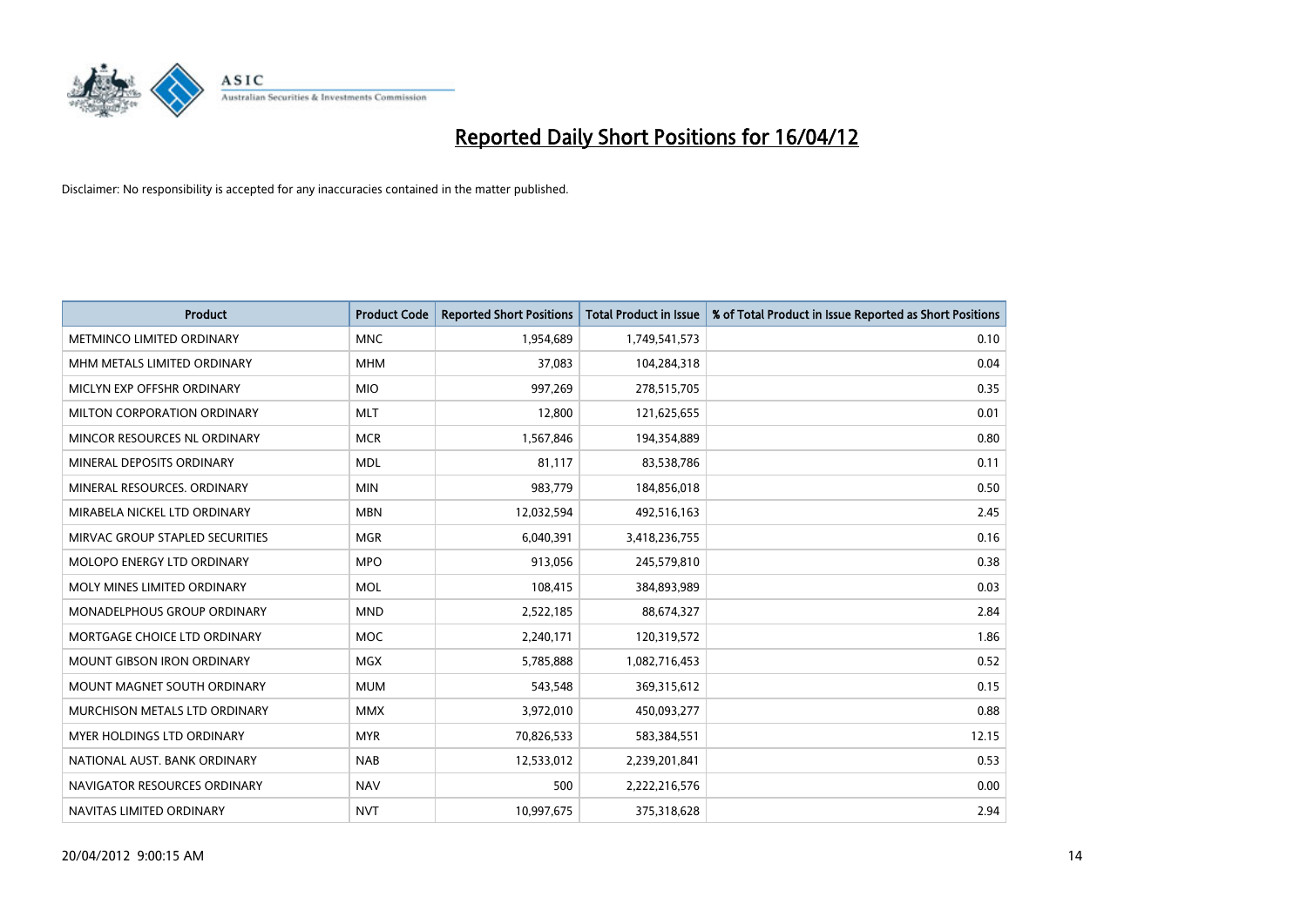

| <b>Product</b>                     | <b>Product Code</b> | <b>Reported Short Positions</b> | <b>Total Product in Issue</b> | % of Total Product in Issue Reported as Short Positions |
|------------------------------------|---------------------|---------------------------------|-------------------------------|---------------------------------------------------------|
| METMINCO LIMITED ORDINARY          | <b>MNC</b>          | 1,954,689                       | 1,749,541,573                 | 0.10                                                    |
| MHM METALS LIMITED ORDINARY        | <b>MHM</b>          | 37,083                          | 104,284,318                   | 0.04                                                    |
| MICLYN EXP OFFSHR ORDINARY         | <b>MIO</b>          | 997,269                         | 278,515,705                   | 0.35                                                    |
| MILTON CORPORATION ORDINARY        | <b>MLT</b>          | 12,800                          | 121,625,655                   | 0.01                                                    |
| MINCOR RESOURCES NL ORDINARY       | <b>MCR</b>          | 1,567,846                       | 194,354,889                   | 0.80                                                    |
| MINERAL DEPOSITS ORDINARY          | <b>MDL</b>          | 81,117                          | 83,538,786                    | 0.11                                                    |
| MINERAL RESOURCES, ORDINARY        | <b>MIN</b>          | 983,779                         | 184,856,018                   | 0.50                                                    |
| MIRABELA NICKEL LTD ORDINARY       | <b>MBN</b>          | 12,032,594                      | 492,516,163                   | 2.45                                                    |
| MIRVAC GROUP STAPLED SECURITIES    | <b>MGR</b>          | 6,040,391                       | 3,418,236,755                 | 0.16                                                    |
| MOLOPO ENERGY LTD ORDINARY         | <b>MPO</b>          | 913,056                         | 245,579,810                   | 0.38                                                    |
| MOLY MINES LIMITED ORDINARY        | <b>MOL</b>          | 108,415                         | 384,893,989                   | 0.03                                                    |
| <b>MONADELPHOUS GROUP ORDINARY</b> | <b>MND</b>          | 2,522,185                       | 88,674,327                    | 2.84                                                    |
| MORTGAGE CHOICE LTD ORDINARY       | MOC                 | 2,240,171                       | 120,319,572                   | 1.86                                                    |
| <b>MOUNT GIBSON IRON ORDINARY</b>  | <b>MGX</b>          | 5,785,888                       | 1,082,716,453                 | 0.52                                                    |
| MOUNT MAGNET SOUTH ORDINARY        | <b>MUM</b>          | 543,548                         | 369,315,612                   | 0.15                                                    |
| MURCHISON METALS LTD ORDINARY      | <b>MMX</b>          | 3,972,010                       | 450,093,277                   | 0.88                                                    |
| MYER HOLDINGS LTD ORDINARY         | <b>MYR</b>          | 70,826,533                      | 583,384,551                   | 12.15                                                   |
| NATIONAL AUST, BANK ORDINARY       | <b>NAB</b>          | 12,533,012                      | 2,239,201,841                 | 0.53                                                    |
| NAVIGATOR RESOURCES ORDINARY       | <b>NAV</b>          | 500                             | 2,222,216,576                 | 0.00                                                    |
| NAVITAS LIMITED ORDINARY           | <b>NVT</b>          | 10,997,675                      | 375,318,628                   | 2.94                                                    |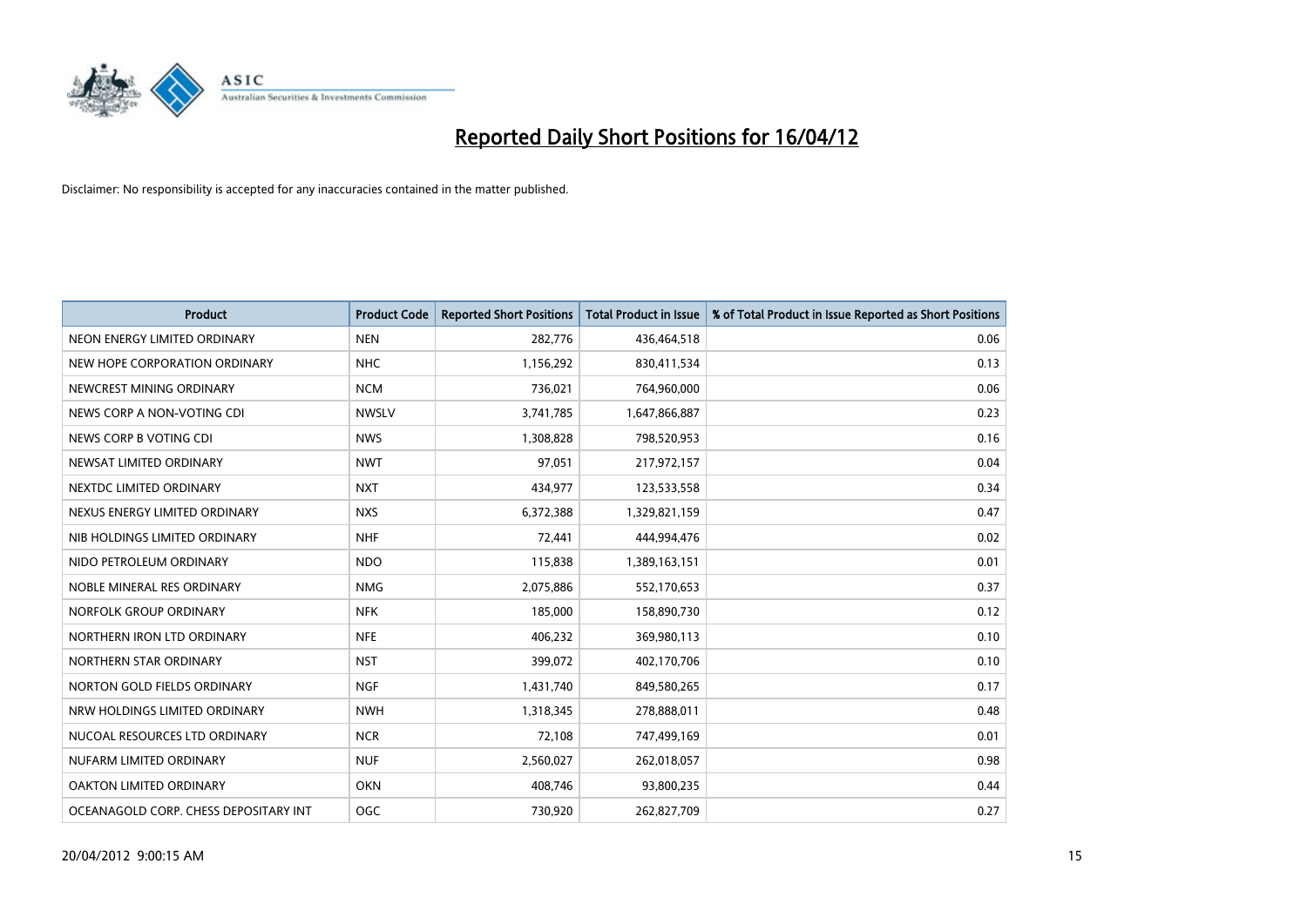

| <b>Product</b>                        | <b>Product Code</b> | <b>Reported Short Positions</b> | <b>Total Product in Issue</b> | % of Total Product in Issue Reported as Short Positions |
|---------------------------------------|---------------------|---------------------------------|-------------------------------|---------------------------------------------------------|
| NEON ENERGY LIMITED ORDINARY          | <b>NEN</b>          | 282,776                         | 436,464,518                   | 0.06                                                    |
| NEW HOPE CORPORATION ORDINARY         | <b>NHC</b>          | 1,156,292                       | 830,411,534                   | 0.13                                                    |
| NEWCREST MINING ORDINARY              | <b>NCM</b>          | 736,021                         | 764,960,000                   | 0.06                                                    |
| NEWS CORP A NON-VOTING CDI            | <b>NWSLV</b>        | 3,741,785                       | 1,647,866,887                 | 0.23                                                    |
| NEWS CORP B VOTING CDI                | <b>NWS</b>          | 1,308,828                       | 798,520,953                   | 0.16                                                    |
| NEWSAT LIMITED ORDINARY               | <b>NWT</b>          | 97,051                          | 217,972,157                   | 0.04                                                    |
| NEXTDC LIMITED ORDINARY               | <b>NXT</b>          | 434,977                         | 123,533,558                   | 0.34                                                    |
| NEXUS ENERGY LIMITED ORDINARY         | <b>NXS</b>          | 6,372,388                       | 1,329,821,159                 | 0.47                                                    |
| NIB HOLDINGS LIMITED ORDINARY         | <b>NHF</b>          | 72,441                          | 444,994,476                   | 0.02                                                    |
| NIDO PETROLEUM ORDINARY               | <b>NDO</b>          | 115,838                         | 1,389,163,151                 | 0.01                                                    |
| NOBLE MINERAL RES ORDINARY            | <b>NMG</b>          | 2,075,886                       | 552,170,653                   | 0.37                                                    |
| NORFOLK GROUP ORDINARY                | <b>NFK</b>          | 185,000                         | 158,890,730                   | 0.12                                                    |
| NORTHERN IRON LTD ORDINARY            | <b>NFE</b>          | 406,232                         | 369,980,113                   | 0.10                                                    |
| NORTHERN STAR ORDINARY                | <b>NST</b>          | 399,072                         | 402,170,706                   | 0.10                                                    |
| NORTON GOLD FIELDS ORDINARY           | <b>NGF</b>          | 1,431,740                       | 849,580,265                   | 0.17                                                    |
| NRW HOLDINGS LIMITED ORDINARY         | <b>NWH</b>          | 1,318,345                       | 278,888,011                   | 0.48                                                    |
| NUCOAL RESOURCES LTD ORDINARY         | <b>NCR</b>          | 72,108                          | 747,499,169                   | 0.01                                                    |
| NUFARM LIMITED ORDINARY               | <b>NUF</b>          | 2,560,027                       | 262,018,057                   | 0.98                                                    |
| OAKTON LIMITED ORDINARY               | <b>OKN</b>          | 408,746                         | 93,800,235                    | 0.44                                                    |
| OCEANAGOLD CORP. CHESS DEPOSITARY INT | <b>OGC</b>          | 730,920                         | 262,827,709                   | 0.27                                                    |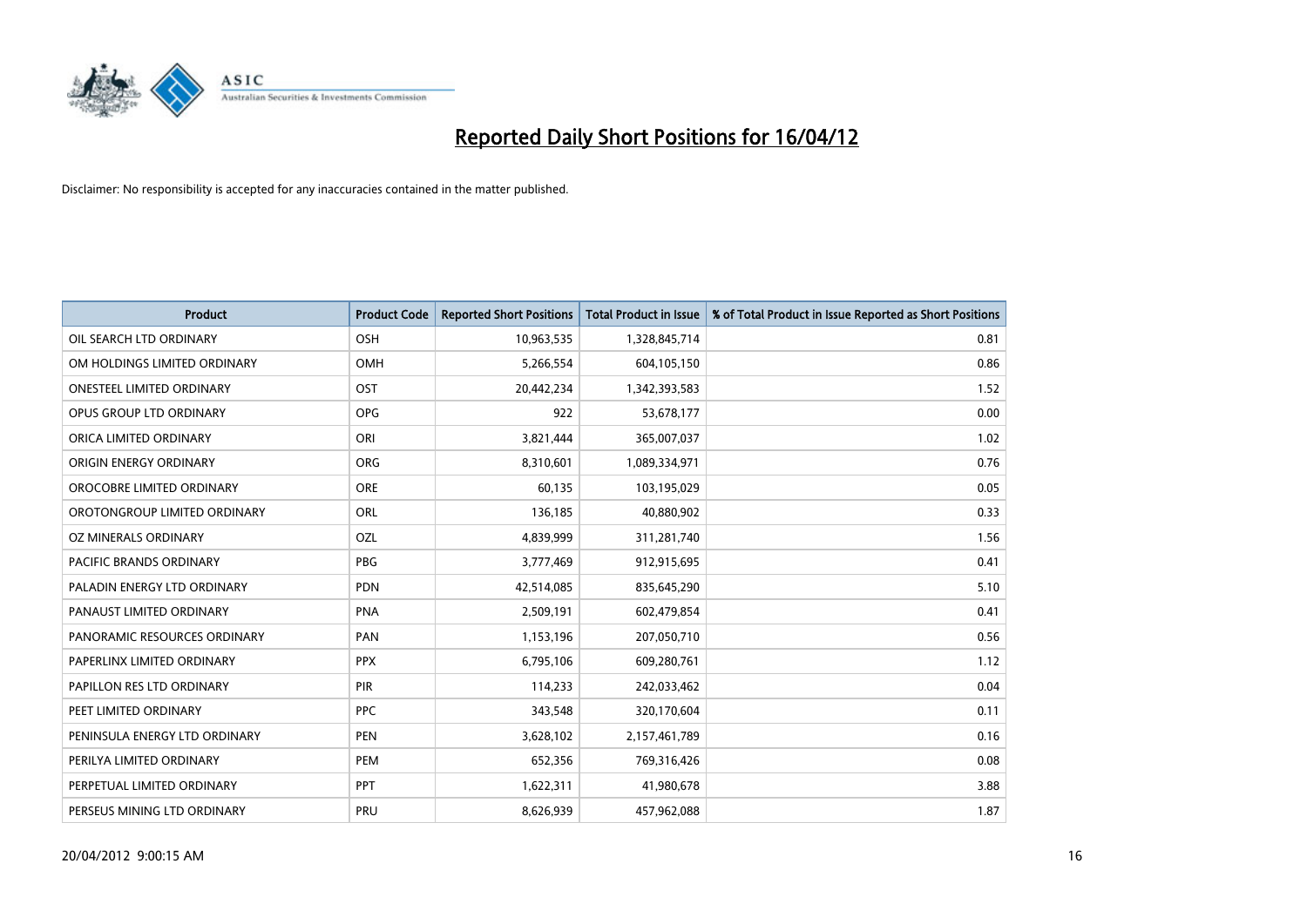

| <b>Product</b>                   | <b>Product Code</b> | <b>Reported Short Positions</b> | <b>Total Product in Issue</b> | % of Total Product in Issue Reported as Short Positions |
|----------------------------------|---------------------|---------------------------------|-------------------------------|---------------------------------------------------------|
| OIL SEARCH LTD ORDINARY          | OSH                 | 10,963,535                      | 1,328,845,714                 | 0.81                                                    |
| OM HOLDINGS LIMITED ORDINARY     | OMH                 | 5,266,554                       | 604,105,150                   | 0.86                                                    |
| <b>ONESTEEL LIMITED ORDINARY</b> | OST                 | 20,442,234                      | 1,342,393,583                 | 1.52                                                    |
| OPUS GROUP LTD ORDINARY          | <b>OPG</b>          | 922                             | 53,678,177                    | 0.00                                                    |
| ORICA LIMITED ORDINARY           | ORI                 | 3,821,444                       | 365,007,037                   | 1.02                                                    |
| ORIGIN ENERGY ORDINARY           | <b>ORG</b>          | 8,310,601                       | 1,089,334,971                 | 0.76                                                    |
| OROCOBRE LIMITED ORDINARY        | <b>ORE</b>          | 60,135                          | 103,195,029                   | 0.05                                                    |
| OROTONGROUP LIMITED ORDINARY     | ORL                 | 136,185                         | 40,880,902                    | 0.33                                                    |
| <b>OZ MINERALS ORDINARY</b>      | OZL                 | 4,839,999                       | 311,281,740                   | 1.56                                                    |
| <b>PACIFIC BRANDS ORDINARY</b>   | <b>PBG</b>          | 3,777,469                       | 912,915,695                   | 0.41                                                    |
| PALADIN ENERGY LTD ORDINARY      | PDN                 | 42,514,085                      | 835,645,290                   | 5.10                                                    |
| PANAUST LIMITED ORDINARY         | <b>PNA</b>          | 2,509,191                       | 602,479,854                   | 0.41                                                    |
| PANORAMIC RESOURCES ORDINARY     | PAN                 | 1,153,196                       | 207,050,710                   | 0.56                                                    |
| PAPERLINX LIMITED ORDINARY       | <b>PPX</b>          | 6,795,106                       | 609,280,761                   | 1.12                                                    |
| PAPILLON RES LTD ORDINARY        | <b>PIR</b>          | 114,233                         | 242,033,462                   | 0.04                                                    |
| PEET LIMITED ORDINARY            | <b>PPC</b>          | 343,548                         | 320,170,604                   | 0.11                                                    |
| PENINSULA ENERGY LTD ORDINARY    | PEN                 | 3,628,102                       | 2,157,461,789                 | 0.16                                                    |
| PERILYA LIMITED ORDINARY         | <b>PEM</b>          | 652,356                         | 769,316,426                   | 0.08                                                    |
| PERPETUAL LIMITED ORDINARY       | <b>PPT</b>          | 1,622,311                       | 41,980,678                    | 3.88                                                    |
| PERSEUS MINING LTD ORDINARY      | PRU                 | 8,626,939                       | 457,962,088                   | 1.87                                                    |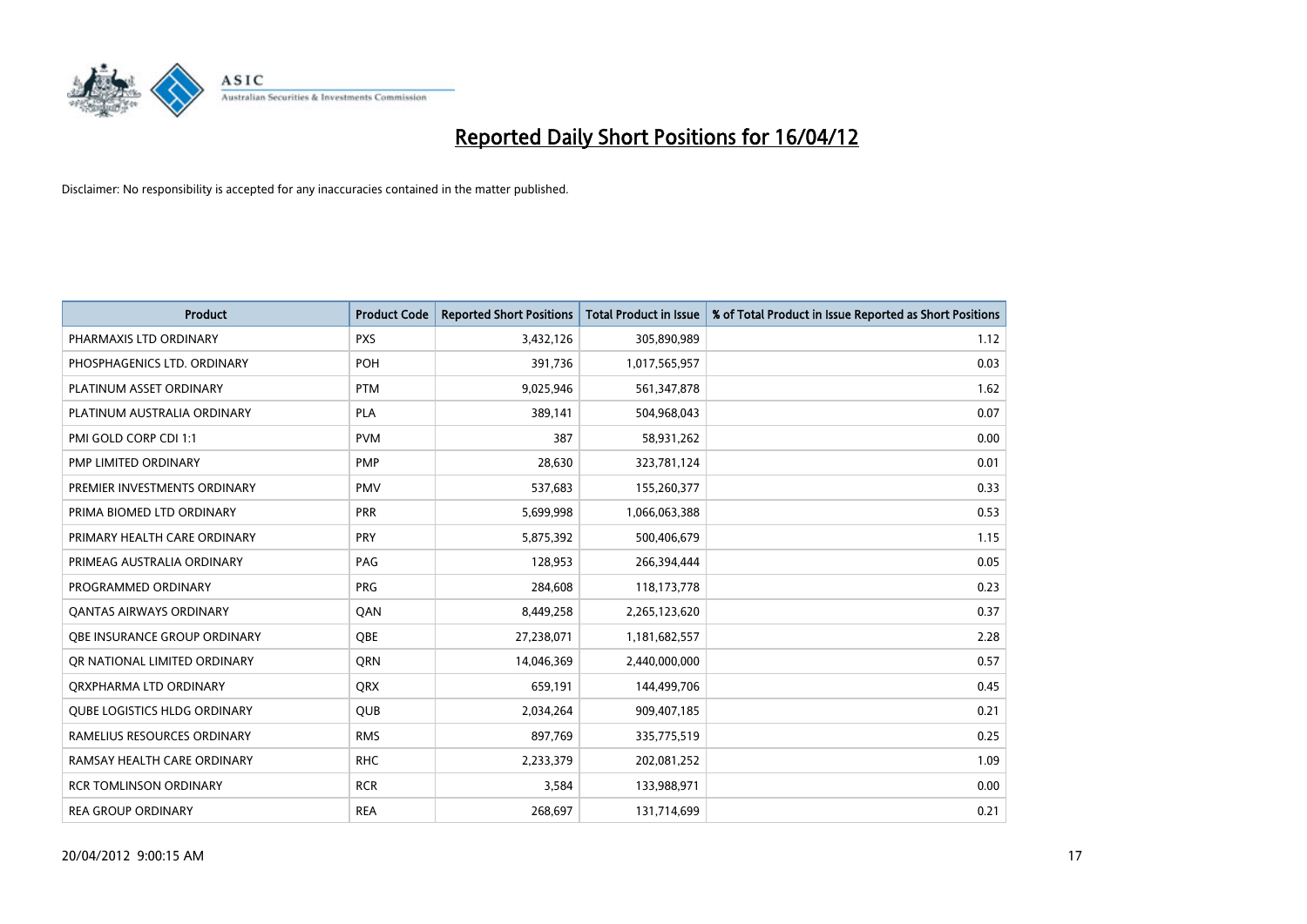

| <b>Product</b>                      | <b>Product Code</b> | <b>Reported Short Positions</b> | <b>Total Product in Issue</b> | % of Total Product in Issue Reported as Short Positions |
|-------------------------------------|---------------------|---------------------------------|-------------------------------|---------------------------------------------------------|
| PHARMAXIS LTD ORDINARY              | <b>PXS</b>          | 3,432,126                       | 305,890,989                   | 1.12                                                    |
| PHOSPHAGENICS LTD. ORDINARY         | POH                 | 391,736                         | 1,017,565,957                 | 0.03                                                    |
| PLATINUM ASSET ORDINARY             | <b>PTM</b>          | 9,025,946                       | 561,347,878                   | 1.62                                                    |
| PLATINUM AUSTRALIA ORDINARY         | <b>PLA</b>          | 389,141                         | 504,968,043                   | 0.07                                                    |
| PMI GOLD CORP CDI 1:1               | <b>PVM</b>          | 387                             | 58,931,262                    | 0.00                                                    |
| PMP LIMITED ORDINARY                | <b>PMP</b>          | 28,630                          | 323,781,124                   | 0.01                                                    |
| PREMIER INVESTMENTS ORDINARY        | <b>PMV</b>          | 537,683                         | 155,260,377                   | 0.33                                                    |
| PRIMA BIOMED LTD ORDINARY           | <b>PRR</b>          | 5,699,998                       | 1,066,063,388                 | 0.53                                                    |
| PRIMARY HEALTH CARE ORDINARY        | <b>PRY</b>          | 5,875,392                       | 500,406,679                   | 1.15                                                    |
| PRIMEAG AUSTRALIA ORDINARY          | PAG                 | 128,953                         | 266,394,444                   | 0.05                                                    |
| PROGRAMMED ORDINARY                 | <b>PRG</b>          | 284,608                         | 118,173,778                   | 0.23                                                    |
| <b>QANTAS AIRWAYS ORDINARY</b>      | QAN                 | 8,449,258                       | 2,265,123,620                 | 0.37                                                    |
| OBE INSURANCE GROUP ORDINARY        | OBE                 | 27,238,071                      | 1,181,682,557                 | 2.28                                                    |
| OR NATIONAL LIMITED ORDINARY        | <b>ORN</b>          | 14,046,369                      | 2,440,000,000                 | 0.57                                                    |
| ORXPHARMA LTD ORDINARY              | QRX                 | 659,191                         | 144,499,706                   | 0.45                                                    |
| <b>QUBE LOGISTICS HLDG ORDINARY</b> | QUB                 | 2,034,264                       | 909,407,185                   | 0.21                                                    |
| RAMELIUS RESOURCES ORDINARY         | <b>RMS</b>          | 897,769                         | 335,775,519                   | 0.25                                                    |
| RAMSAY HEALTH CARE ORDINARY         | <b>RHC</b>          | 2,233,379                       | 202,081,252                   | 1.09                                                    |
| <b>RCR TOMLINSON ORDINARY</b>       | <b>RCR</b>          | 3,584                           | 133,988,971                   | 0.00                                                    |
| <b>REA GROUP ORDINARY</b>           | <b>REA</b>          | 268,697                         | 131,714,699                   | 0.21                                                    |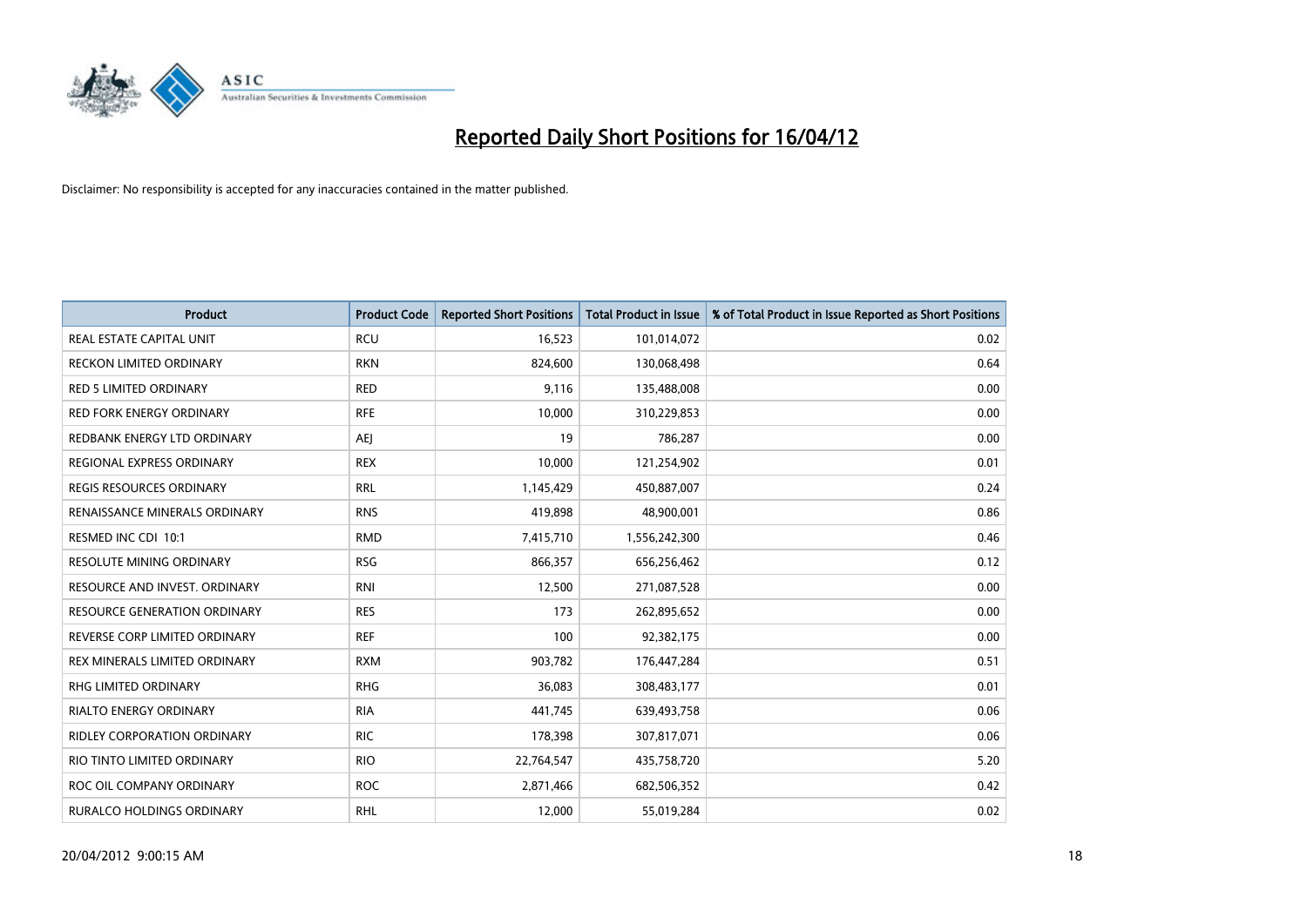

| Product                             | <b>Product Code</b> | <b>Reported Short Positions</b> | <b>Total Product in Issue</b> | % of Total Product in Issue Reported as Short Positions |
|-------------------------------------|---------------------|---------------------------------|-------------------------------|---------------------------------------------------------|
| <b>REAL ESTATE CAPITAL UNIT</b>     | <b>RCU</b>          | 16,523                          | 101,014,072                   | 0.02                                                    |
| RECKON LIMITED ORDINARY             | <b>RKN</b>          | 824,600                         | 130,068,498                   | 0.64                                                    |
| RED 5 LIMITED ORDINARY              | <b>RED</b>          | 9,116                           | 135,488,008                   | 0.00                                                    |
| <b>RED FORK ENERGY ORDINARY</b>     | <b>RFE</b>          | 10,000                          | 310,229,853                   | 0.00                                                    |
| REDBANK ENERGY LTD ORDINARY         | <b>AEJ</b>          | 19                              | 786,287                       | 0.00                                                    |
| REGIONAL EXPRESS ORDINARY           | <b>REX</b>          | 10,000                          | 121,254,902                   | 0.01                                                    |
| REGIS RESOURCES ORDINARY            | <b>RRL</b>          | 1,145,429                       | 450,887,007                   | 0.24                                                    |
| RENAISSANCE MINERALS ORDINARY       | <b>RNS</b>          | 419,898                         | 48,900,001                    | 0.86                                                    |
| RESMED INC CDI 10:1                 | <b>RMD</b>          | 7,415,710                       | 1,556,242,300                 | 0.46                                                    |
| <b>RESOLUTE MINING ORDINARY</b>     | <b>RSG</b>          | 866,357                         | 656,256,462                   | 0.12                                                    |
| RESOURCE AND INVEST. ORDINARY       | <b>RNI</b>          | 12,500                          | 271,087,528                   | 0.00                                                    |
| <b>RESOURCE GENERATION ORDINARY</b> | <b>RES</b>          | 173                             | 262,895,652                   | 0.00                                                    |
| REVERSE CORP LIMITED ORDINARY       | <b>REF</b>          | 100                             | 92,382,175                    | 0.00                                                    |
| REX MINERALS LIMITED ORDINARY       | <b>RXM</b>          | 903,782                         | 176,447,284                   | 0.51                                                    |
| <b>RHG LIMITED ORDINARY</b>         | <b>RHG</b>          | 36,083                          | 308,483,177                   | 0.01                                                    |
| <b>RIALTO ENERGY ORDINARY</b>       | <b>RIA</b>          | 441,745                         | 639,493,758                   | 0.06                                                    |
| RIDLEY CORPORATION ORDINARY         | <b>RIC</b>          | 178,398                         | 307,817,071                   | 0.06                                                    |
| RIO TINTO LIMITED ORDINARY          | <b>RIO</b>          | 22,764,547                      | 435,758,720                   | 5.20                                                    |
| ROC OIL COMPANY ORDINARY            | <b>ROC</b>          | 2,871,466                       | 682,506,352                   | 0.42                                                    |
| <b>RURALCO HOLDINGS ORDINARY</b>    | <b>RHL</b>          | 12,000                          | 55,019,284                    | 0.02                                                    |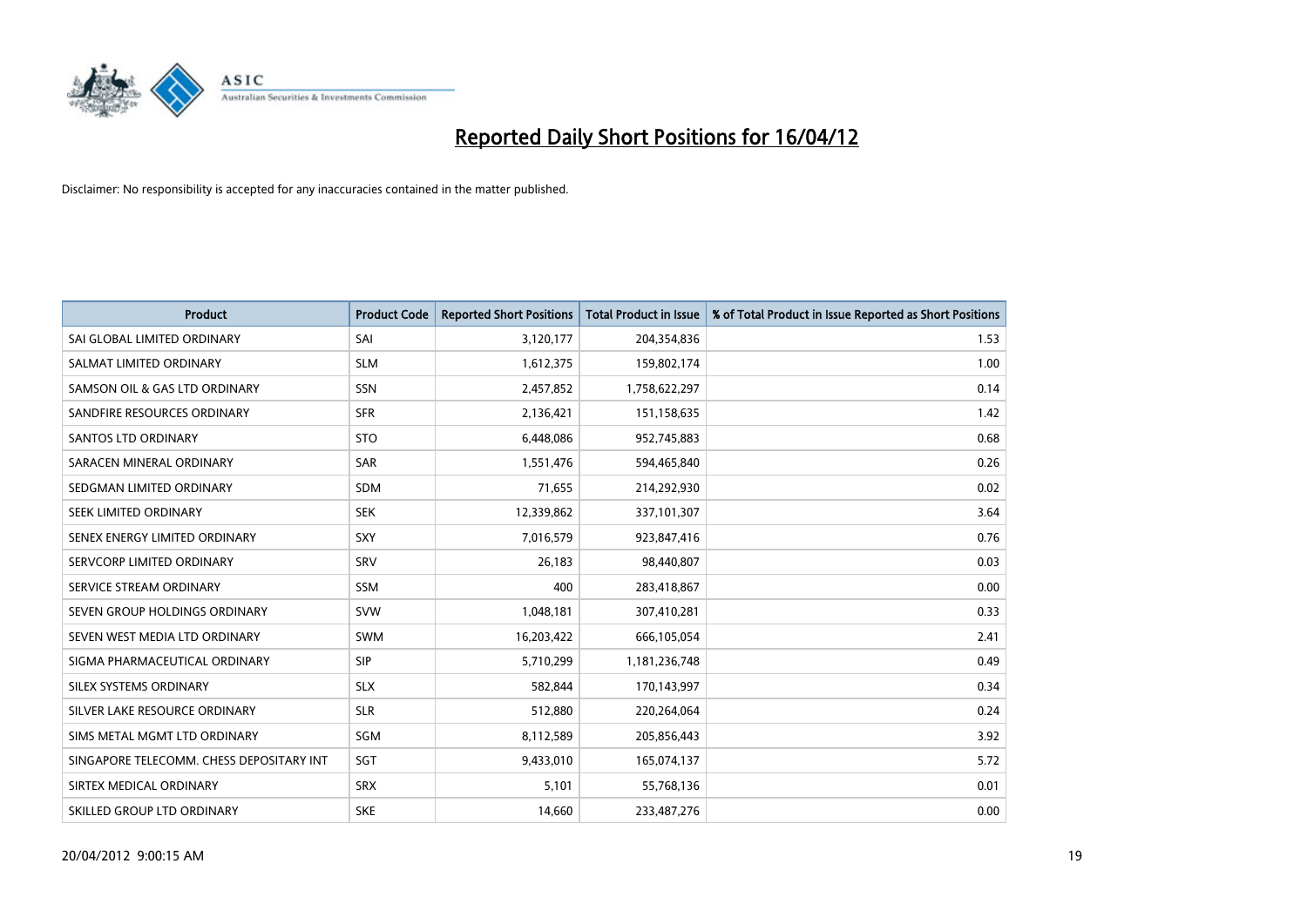

| <b>Product</b>                           | <b>Product Code</b> | <b>Reported Short Positions</b> | <b>Total Product in Issue</b> | % of Total Product in Issue Reported as Short Positions |
|------------------------------------------|---------------------|---------------------------------|-------------------------------|---------------------------------------------------------|
| SAI GLOBAL LIMITED ORDINARY              | SAI                 | 3,120,177                       | 204,354,836                   | 1.53                                                    |
| SALMAT LIMITED ORDINARY                  | <b>SLM</b>          | 1,612,375                       | 159,802,174                   | 1.00                                                    |
| SAMSON OIL & GAS LTD ORDINARY            | SSN                 | 2,457,852                       | 1,758,622,297                 | 0.14                                                    |
| SANDFIRE RESOURCES ORDINARY              | <b>SFR</b>          | 2,136,421                       | 151,158,635                   | 1.42                                                    |
| <b>SANTOS LTD ORDINARY</b>               | <b>STO</b>          | 6,448,086                       | 952,745,883                   | 0.68                                                    |
| SARACEN MINERAL ORDINARY                 | SAR                 | 1,551,476                       | 594,465,840                   | 0.26                                                    |
| SEDGMAN LIMITED ORDINARY                 | <b>SDM</b>          | 71,655                          | 214,292,930                   | 0.02                                                    |
| SEEK LIMITED ORDINARY                    | <b>SEK</b>          | 12,339,862                      | 337,101,307                   | 3.64                                                    |
| SENEX ENERGY LIMITED ORDINARY            | <b>SXY</b>          | 7,016,579                       | 923,847,416                   | 0.76                                                    |
| SERVCORP LIMITED ORDINARY                | SRV                 | 26,183                          | 98,440,807                    | 0.03                                                    |
| SERVICE STREAM ORDINARY                  | SSM                 | 400                             | 283,418,867                   | 0.00                                                    |
| SEVEN GROUP HOLDINGS ORDINARY            | <b>SVW</b>          | 1,048,181                       | 307,410,281                   | 0.33                                                    |
| SEVEN WEST MEDIA LTD ORDINARY            | <b>SWM</b>          | 16,203,422                      | 666,105,054                   | 2.41                                                    |
| SIGMA PHARMACEUTICAL ORDINARY            | <b>SIP</b>          | 5,710,299                       | 1,181,236,748                 | 0.49                                                    |
| SILEX SYSTEMS ORDINARY                   | <b>SLX</b>          | 582,844                         | 170,143,997                   | 0.34                                                    |
| SILVER LAKE RESOURCE ORDINARY            | <b>SLR</b>          | 512,880                         | 220,264,064                   | 0.24                                                    |
| SIMS METAL MGMT LTD ORDINARY             | SGM                 | 8,112,589                       | 205,856,443                   | 3.92                                                    |
| SINGAPORE TELECOMM. CHESS DEPOSITARY INT | SGT                 | 9,433,010                       | 165,074,137                   | 5.72                                                    |
| SIRTEX MEDICAL ORDINARY                  | <b>SRX</b>          | 5,101                           | 55,768,136                    | 0.01                                                    |
| SKILLED GROUP LTD ORDINARY               | <b>SKE</b>          | 14,660                          | 233,487,276                   | 0.00                                                    |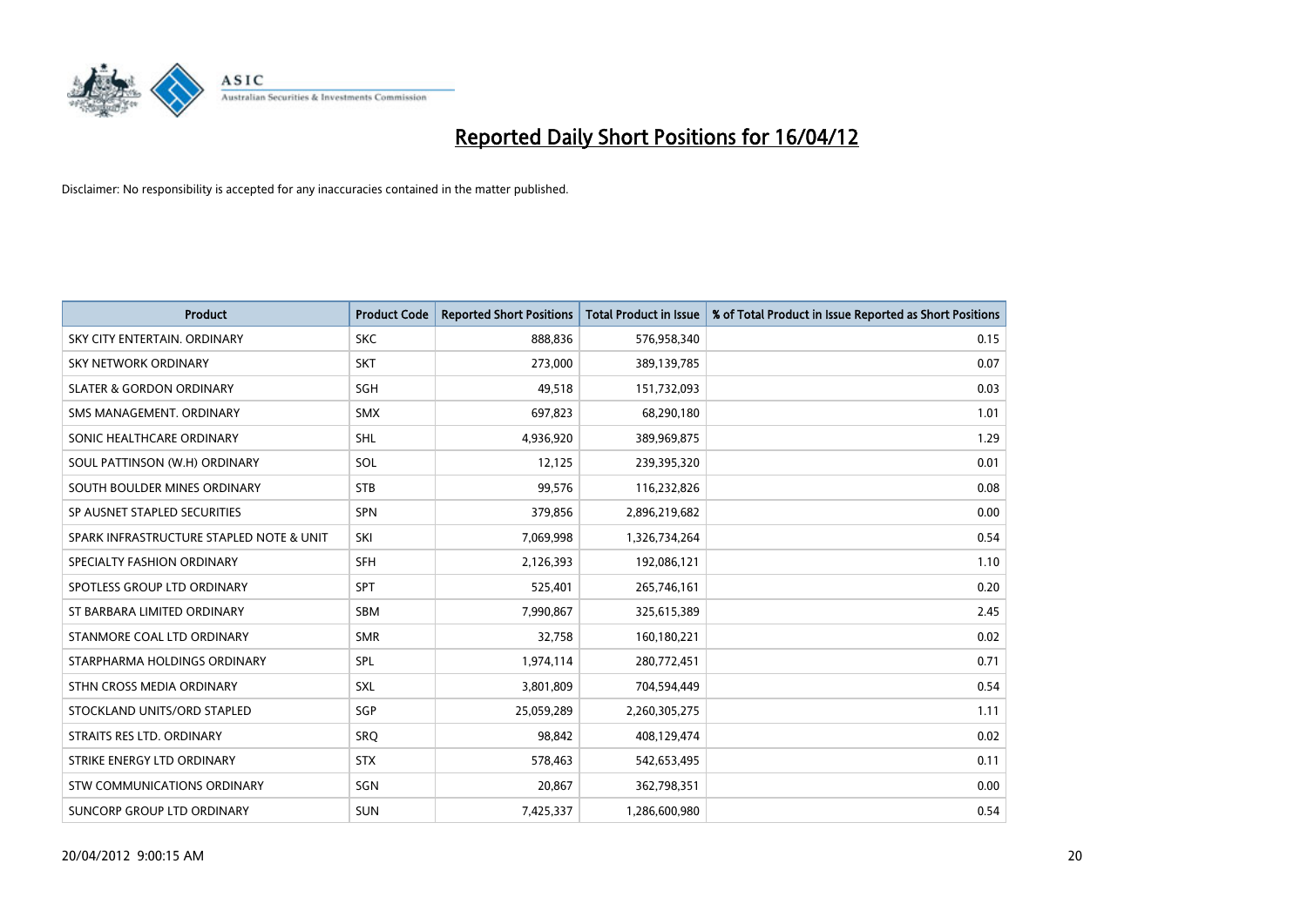

| <b>Product</b>                           | <b>Product Code</b> | <b>Reported Short Positions</b> | <b>Total Product in Issue</b> | % of Total Product in Issue Reported as Short Positions |
|------------------------------------------|---------------------|---------------------------------|-------------------------------|---------------------------------------------------------|
| SKY CITY ENTERTAIN, ORDINARY             | <b>SKC</b>          | 888,836                         | 576,958,340                   | 0.15                                                    |
| SKY NETWORK ORDINARY                     | <b>SKT</b>          | 273,000                         | 389,139,785                   | 0.07                                                    |
| <b>SLATER &amp; GORDON ORDINARY</b>      | SGH                 | 49,518                          | 151,732,093                   | 0.03                                                    |
| SMS MANAGEMENT. ORDINARY                 | <b>SMX</b>          | 697,823                         | 68,290,180                    | 1.01                                                    |
| SONIC HEALTHCARE ORDINARY                | SHL                 | 4,936,920                       | 389,969,875                   | 1.29                                                    |
| SOUL PATTINSON (W.H) ORDINARY            | SOL                 | 12,125                          | 239,395,320                   | 0.01                                                    |
| SOUTH BOULDER MINES ORDINARY             | <b>STB</b>          | 99,576                          | 116,232,826                   | 0.08                                                    |
| SP AUSNET STAPLED SECURITIES             | SPN                 | 379,856                         | 2,896,219,682                 | 0.00                                                    |
| SPARK INFRASTRUCTURE STAPLED NOTE & UNIT | SKI                 | 7,069,998                       | 1,326,734,264                 | 0.54                                                    |
| SPECIALTY FASHION ORDINARY               | <b>SFH</b>          | 2,126,393                       | 192,086,121                   | 1.10                                                    |
| SPOTLESS GROUP LTD ORDINARY              | <b>SPT</b>          | 525,401                         | 265,746,161                   | 0.20                                                    |
| ST BARBARA LIMITED ORDINARY              | <b>SBM</b>          | 7,990,867                       | 325,615,389                   | 2.45                                                    |
| STANMORE COAL LTD ORDINARY               | <b>SMR</b>          | 32,758                          | 160,180,221                   | 0.02                                                    |
| STARPHARMA HOLDINGS ORDINARY             | SPL                 | 1,974,114                       | 280,772,451                   | 0.71                                                    |
| STHN CROSS MEDIA ORDINARY                | SXL                 | 3,801,809                       | 704,594,449                   | 0.54                                                    |
| STOCKLAND UNITS/ORD STAPLED              | <b>SGP</b>          | 25,059,289                      | 2,260,305,275                 | 1.11                                                    |
| STRAITS RES LTD. ORDINARY                | <b>SRQ</b>          | 98,842                          | 408,129,474                   | 0.02                                                    |
| STRIKE ENERGY LTD ORDINARY               | <b>STX</b>          | 578,463                         | 542,653,495                   | 0.11                                                    |
| STW COMMUNICATIONS ORDINARY              | SGN                 | 20,867                          | 362,798,351                   | 0.00                                                    |
| SUNCORP GROUP LTD ORDINARY               | <b>SUN</b>          | 7,425,337                       | 1,286,600,980                 | 0.54                                                    |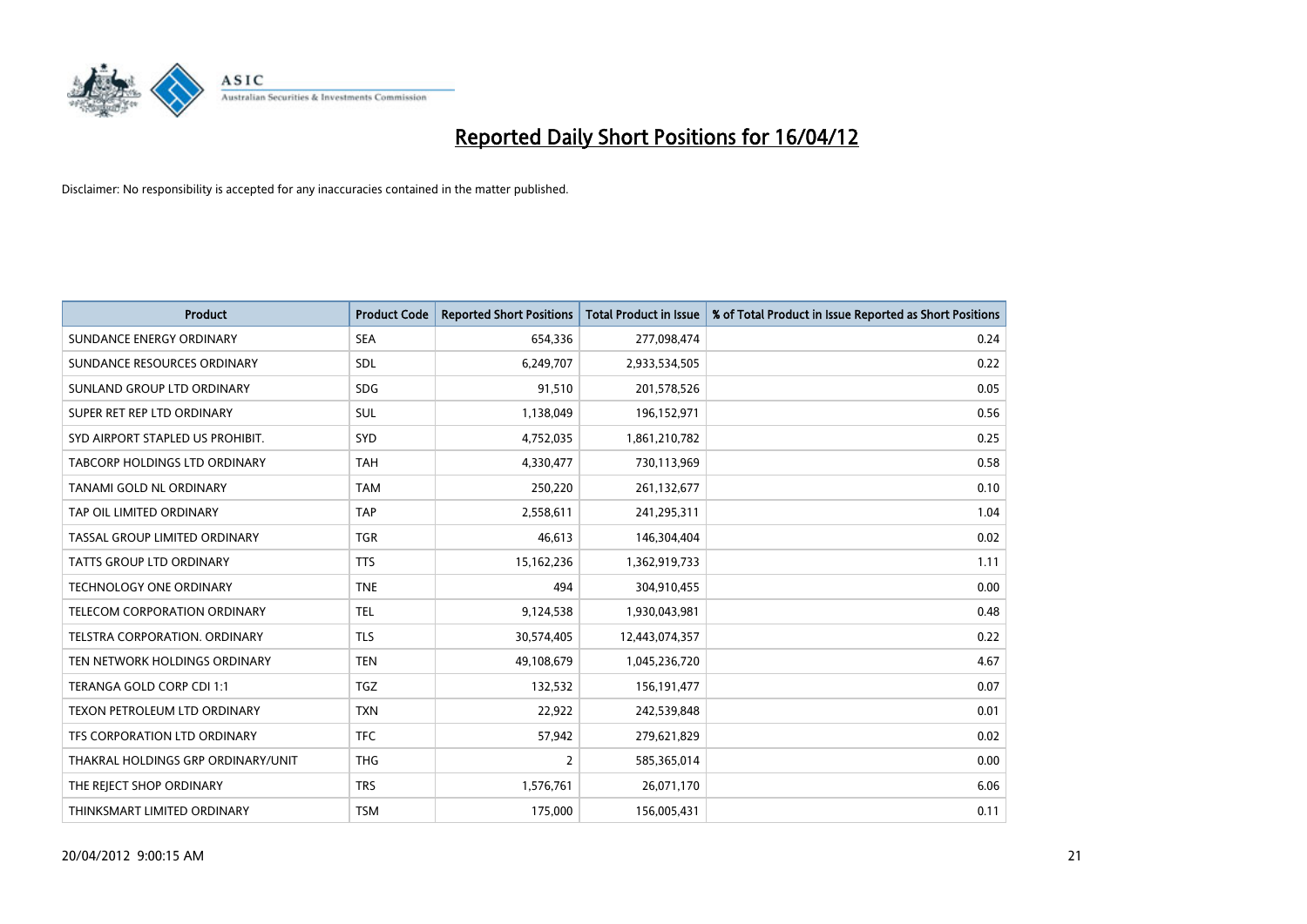

| <b>Product</b>                     | <b>Product Code</b> | <b>Reported Short Positions</b> | <b>Total Product in Issue</b> | % of Total Product in Issue Reported as Short Positions |
|------------------------------------|---------------------|---------------------------------|-------------------------------|---------------------------------------------------------|
| SUNDANCE ENERGY ORDINARY           | <b>SEA</b>          | 654,336                         | 277,098,474                   | 0.24                                                    |
| SUNDANCE RESOURCES ORDINARY        | <b>SDL</b>          | 6,249,707                       | 2,933,534,505                 | 0.22                                                    |
| SUNLAND GROUP LTD ORDINARY         | <b>SDG</b>          | 91,510                          | 201,578,526                   | 0.05                                                    |
| SUPER RET REP LTD ORDINARY         | <b>SUL</b>          | 1,138,049                       | 196,152,971                   | 0.56                                                    |
| SYD AIRPORT STAPLED US PROHIBIT.   | SYD                 | 4,752,035                       | 1,861,210,782                 | 0.25                                                    |
| TABCORP HOLDINGS LTD ORDINARY      | <b>TAH</b>          | 4,330,477                       | 730,113,969                   | 0.58                                                    |
| TANAMI GOLD NL ORDINARY            | <b>TAM</b>          | 250,220                         | 261,132,677                   | 0.10                                                    |
| TAP OIL LIMITED ORDINARY           | <b>TAP</b>          | 2,558,611                       | 241,295,311                   | 1.04                                                    |
| TASSAL GROUP LIMITED ORDINARY      | <b>TGR</b>          | 46,613                          | 146,304,404                   | 0.02                                                    |
| TATTS GROUP LTD ORDINARY           | <b>TTS</b>          | 15,162,236                      | 1,362,919,733                 | 1.11                                                    |
| TECHNOLOGY ONE ORDINARY            | <b>TNE</b>          | 494                             | 304,910,455                   | 0.00                                                    |
| TELECOM CORPORATION ORDINARY       | <b>TEL</b>          | 9,124,538                       | 1,930,043,981                 | 0.48                                                    |
| TELSTRA CORPORATION. ORDINARY      | <b>TLS</b>          | 30,574,405                      | 12,443,074,357                | 0.22                                                    |
| TEN NETWORK HOLDINGS ORDINARY      | <b>TEN</b>          | 49,108,679                      | 1,045,236,720                 | 4.67                                                    |
| TERANGA GOLD CORP CDI 1:1          | TGZ                 | 132,532                         | 156, 191, 477                 | 0.07                                                    |
| TEXON PETROLEUM LTD ORDINARY       | <b>TXN</b>          | 22,922                          | 242,539,848                   | 0.01                                                    |
| TFS CORPORATION LTD ORDINARY       | <b>TFC</b>          | 57,942                          | 279,621,829                   | 0.02                                                    |
| THAKRAL HOLDINGS GRP ORDINARY/UNIT | <b>THG</b>          | $\overline{2}$                  | 585,365,014                   | 0.00                                                    |
| THE REJECT SHOP ORDINARY           | <b>TRS</b>          | 1,576,761                       | 26,071,170                    | 6.06                                                    |
| THINKSMART LIMITED ORDINARY        | <b>TSM</b>          | 175,000                         | 156,005,431                   | 0.11                                                    |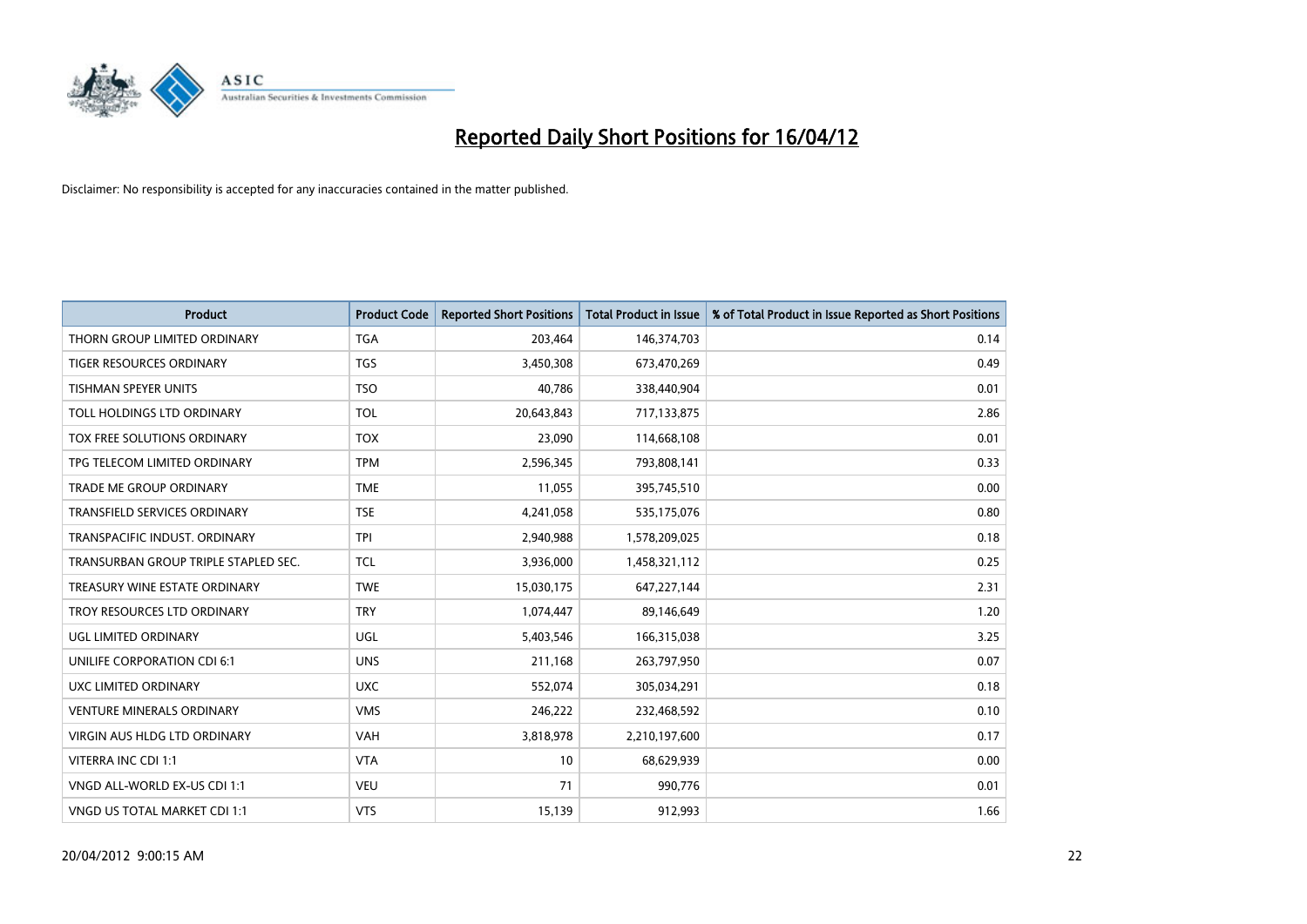

| <b>Product</b>                       | <b>Product Code</b> | <b>Reported Short Positions</b> | <b>Total Product in Issue</b> | % of Total Product in Issue Reported as Short Positions |
|--------------------------------------|---------------------|---------------------------------|-------------------------------|---------------------------------------------------------|
| THORN GROUP LIMITED ORDINARY         | <b>TGA</b>          | 203,464                         | 146,374,703                   | 0.14                                                    |
| TIGER RESOURCES ORDINARY             | <b>TGS</b>          | 3,450,308                       | 673,470,269                   | 0.49                                                    |
| <b>TISHMAN SPEYER UNITS</b>          | <b>TSO</b>          | 40.786                          | 338,440,904                   | 0.01                                                    |
| TOLL HOLDINGS LTD ORDINARY           | <b>TOL</b>          | 20,643,843                      | 717,133,875                   | 2.86                                                    |
| TOX FREE SOLUTIONS ORDINARY          | <b>TOX</b>          | 23,090                          | 114,668,108                   | 0.01                                                    |
| TPG TELECOM LIMITED ORDINARY         | <b>TPM</b>          | 2,596,345                       | 793,808,141                   | 0.33                                                    |
| <b>TRADE ME GROUP ORDINARY</b>       | <b>TME</b>          | 11,055                          | 395,745,510                   | 0.00                                                    |
| TRANSFIELD SERVICES ORDINARY         | <b>TSE</b>          | 4,241,058                       | 535,175,076                   | 0.80                                                    |
| TRANSPACIFIC INDUST, ORDINARY        | <b>TPI</b>          | 2,940,988                       | 1,578,209,025                 | 0.18                                                    |
| TRANSURBAN GROUP TRIPLE STAPLED SEC. | <b>TCL</b>          | 3,936,000                       | 1,458,321,112                 | 0.25                                                    |
| TREASURY WINE ESTATE ORDINARY        | <b>TWE</b>          | 15,030,175                      | 647,227,144                   | 2.31                                                    |
| TROY RESOURCES LTD ORDINARY          | <b>TRY</b>          | 1,074,447                       | 89,146,649                    | 1.20                                                    |
| UGL LIMITED ORDINARY                 | UGL                 | 5,403,546                       | 166,315,038                   | 3.25                                                    |
| UNILIFE CORPORATION CDI 6:1          | <b>UNS</b>          | 211,168                         | 263,797,950                   | 0.07                                                    |
| UXC LIMITED ORDINARY                 | <b>UXC</b>          | 552,074                         | 305,034,291                   | 0.18                                                    |
| <b>VENTURE MINERALS ORDINARY</b>     | <b>VMS</b>          | 246,222                         | 232,468,592                   | 0.10                                                    |
| VIRGIN AUS HLDG LTD ORDINARY         | VAH                 | 3,818,978                       | 2,210,197,600                 | 0.17                                                    |
| VITERRA INC CDI 1:1                  | <b>VTA</b>          | 10                              | 68,629,939                    | 0.00                                                    |
| VNGD ALL-WORLD EX-US CDI 1:1         | <b>VEU</b>          | 71                              | 990,776                       | 0.01                                                    |
| VNGD US TOTAL MARKET CDI 1:1         | <b>VTS</b>          | 15,139                          | 912,993                       | 1.66                                                    |